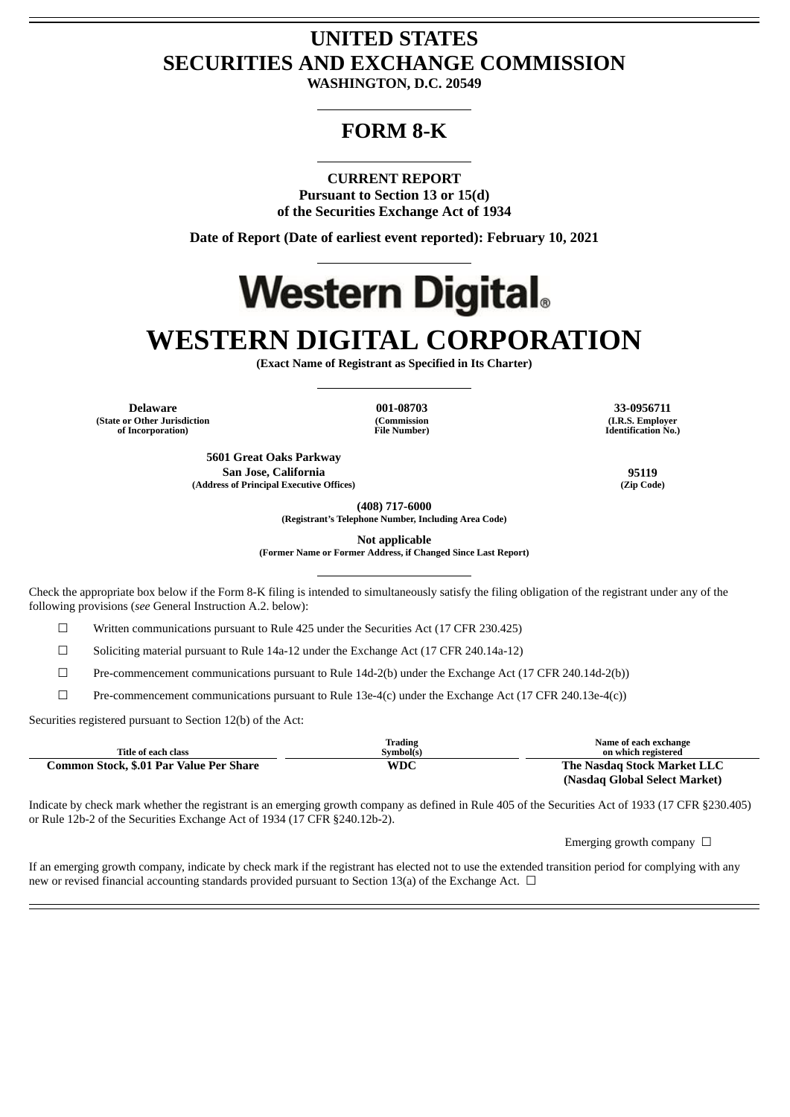## **UNITED STATES SECURITIES AND EXCHANGE COMMISSION**

**WASHINGTON, D.C. 20549**

### **FORM 8-K**

**CURRENT REPORT**

**Pursuant to Section 13 or 15(d) of the Securities Exchange Act of 1934**

**Date of Report (Date of earliest event reported): February 10, 2021**

# **Western Digital.**

## **WESTERN DIGITAL CORPORATION**

**(Exact Name of Registrant as Specified in Its Charter)**

**Delaware 001-08703 33-0956711 (State or Other Jurisdiction of Incorporation)**

**(Commission File Number)**

**(I.R.S. Employer Identification No.)**

**5601 Great Oaks Parkway San Jose, California 95119 (Address of Principal Executive Offices) (Zip Code)**

**(408) 717-6000**

**(Registrant's Telephone Number, Including Area Code)**

**Not applicable**

**(Former Name or Former Address, if Changed Since Last Report)**

Check the appropriate box below if the Form 8-K filing is intended to simultaneously satisfy the filing obligation of the registrant under any of the following provisions (*see* General Instruction A.2. below):

☐ Written communications pursuant to Rule 425 under the Securities Act (17 CFR 230.425)

 $\Box$  Soliciting material pursuant to Rule 14a-12 under the Exchange Act (17 CFR 240.14a-12)

☐ Pre-commencement communications pursuant to Rule 14d-2(b) under the Exchange Act (17 CFR 240.14d-2(b))

☐ Pre-commencement communications pursuant to Rule 13e-4(c) under the Exchange Act (17 CFR 240.13e-4(c))

Securities registered pursuant to Section 12(b) of the Act:

|                                         | Trading   | Name of each exchange         |
|-----------------------------------------|-----------|-------------------------------|
| Title of each class                     | Symbol(s) | on which registered           |
| Common Stock, \$.01 Par Value Per Share | WDC       | The Nasdag Stock Market LLC   |
|                                         |           | (Nasdaq Global Select Market) |

Indicate by check mark whether the registrant is an emerging growth company as defined in Rule 405 of the Securities Act of 1933 (17 CFR §230.405) or Rule 12b-2 of the Securities Exchange Act of 1934 (17 CFR §240.12b-2).

Emerging growth company  $\Box$ 

If an emerging growth company, indicate by check mark if the registrant has elected not to use the extended transition period for complying with any new or revised financial accounting standards provided pursuant to Section 13(a) of the Exchange Act.  $\Box$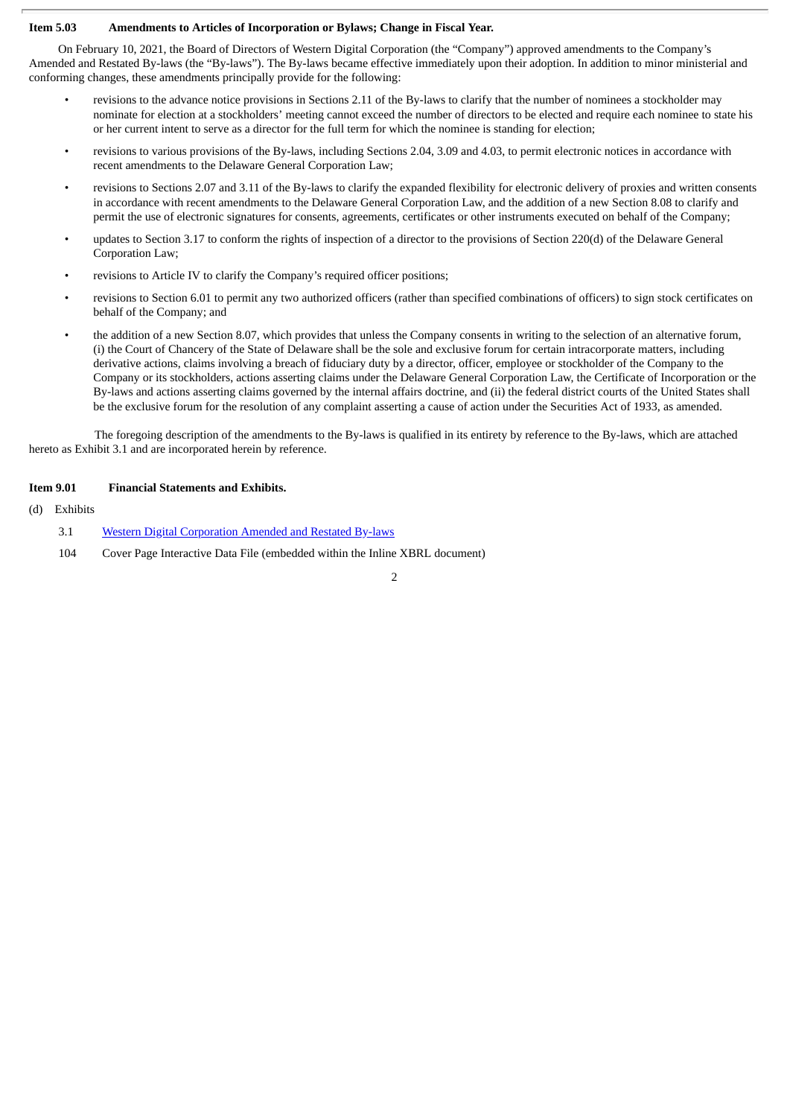#### **Item 5.03 Amendments to Articles of Incorporation or Bylaws; Change in Fiscal Year.**

On February 10, 2021, the Board of Directors of Western Digital Corporation (the "Company") approved amendments to the Company's Amended and Restated By-laws (the "By-laws"). The By-laws became effective immediately upon their adoption. In addition to minor ministerial and conforming changes, these amendments principally provide for the following:

- revisions to the advance notice provisions in Sections 2.11 of the By-laws to clarify that the number of nominees a stockholder may nominate for election at a stockholders' meeting cannot exceed the number of directors to be elected and require each nominee to state his or her current intent to serve as a director for the full term for which the nominee is standing for election;
- revisions to various provisions of the By-laws, including Sections 2.04, 3.09 and 4.03, to permit electronic notices in accordance with recent amendments to the Delaware General Corporation Law;
- revisions to Sections 2.07 and 3.11 of the By-laws to clarify the expanded flexibility for electronic delivery of proxies and written consents in accordance with recent amendments to the Delaware General Corporation Law, and the addition of a new Section 8.08 to clarify and permit the use of electronic signatures for consents, agreements, certificates or other instruments executed on behalf of the Company;
- updates to Section 3.17 to conform the rights of inspection of a director to the provisions of Section 220(d) of the Delaware General Corporation Law;
- revisions to Article IV to clarify the Company's required officer positions;
- revisions to Section 6.01 to permit any two authorized officers (rather than specified combinations of officers) to sign stock certificates on behalf of the Company; and
- the addition of a new Section 8.07, which provides that unless the Company consents in writing to the selection of an alternative forum, (i) the Court of Chancery of the State of Delaware shall be the sole and exclusive forum for certain intracorporate matters, including derivative actions, claims involving a breach of fiduciary duty by a director, officer, employee or stockholder of the Company to the Company or its stockholders, actions asserting claims under the Delaware General Corporation Law, the Certificate of Incorporation or the By-laws and actions asserting claims governed by the internal affairs doctrine, and (ii) the federal district courts of the United States shall be the exclusive forum for the resolution of any complaint asserting a cause of action under the Securities Act of 1933, as amended.

The foregoing description of the amendments to the By-laws is qualified in its entirety by reference to the By-laws, which are attached hereto as Exhibit 3.1 and are incorporated herein by reference.

#### **Item 9.01 Financial Statements and Exhibits.**

#### (d) Exhibits

- 3.1 Western Digital [Corporation](#page-3-0) Amended and Restated By-laws
- 104 Cover Page Interactive Data File (embedded within the Inline XBRL document)

 $\overline{2}$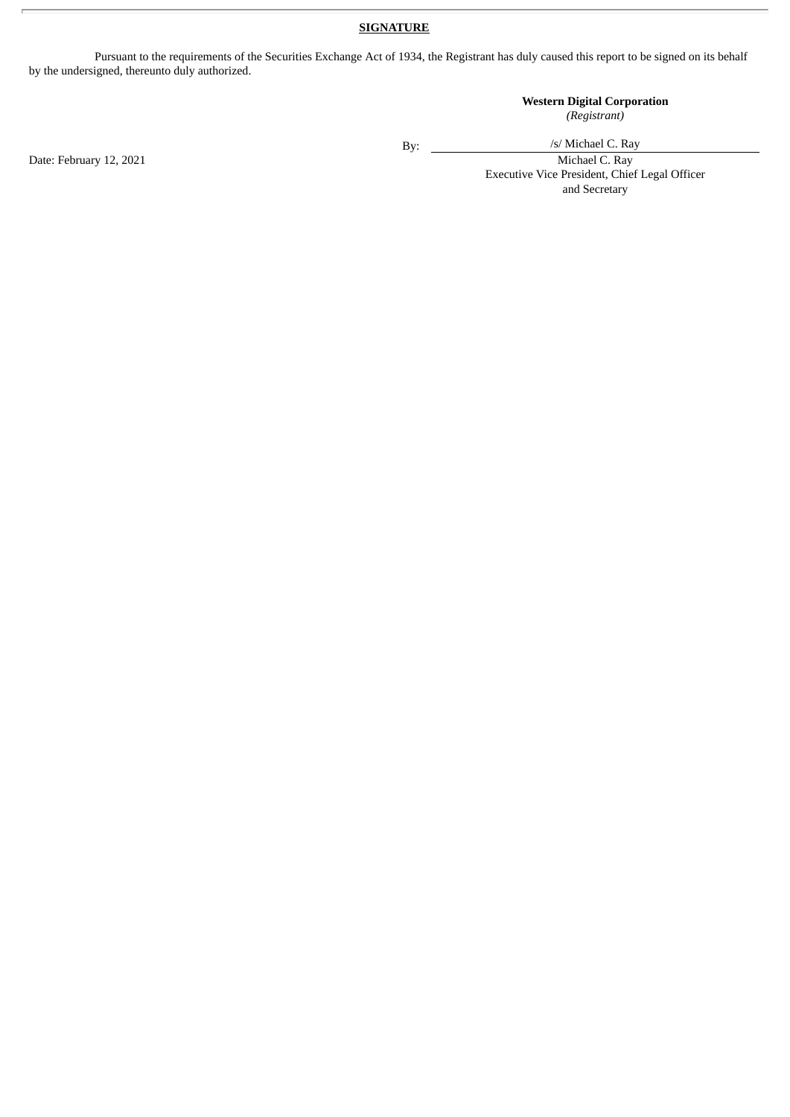#### **SIGNATURE**

Pursuant to the requirements of the Securities Exchange Act of 1934, the Registrant has duly caused this report to be signed on its behalf by the undersigned, thereunto duly authorized.

#### **Western Digital Corporation** *(Registrant)*

By:

/s/ Michael C. Ray

Executive Vice President, Chief Legal Officer and Secretary

Date: February 12, 2021 Michael C. Ray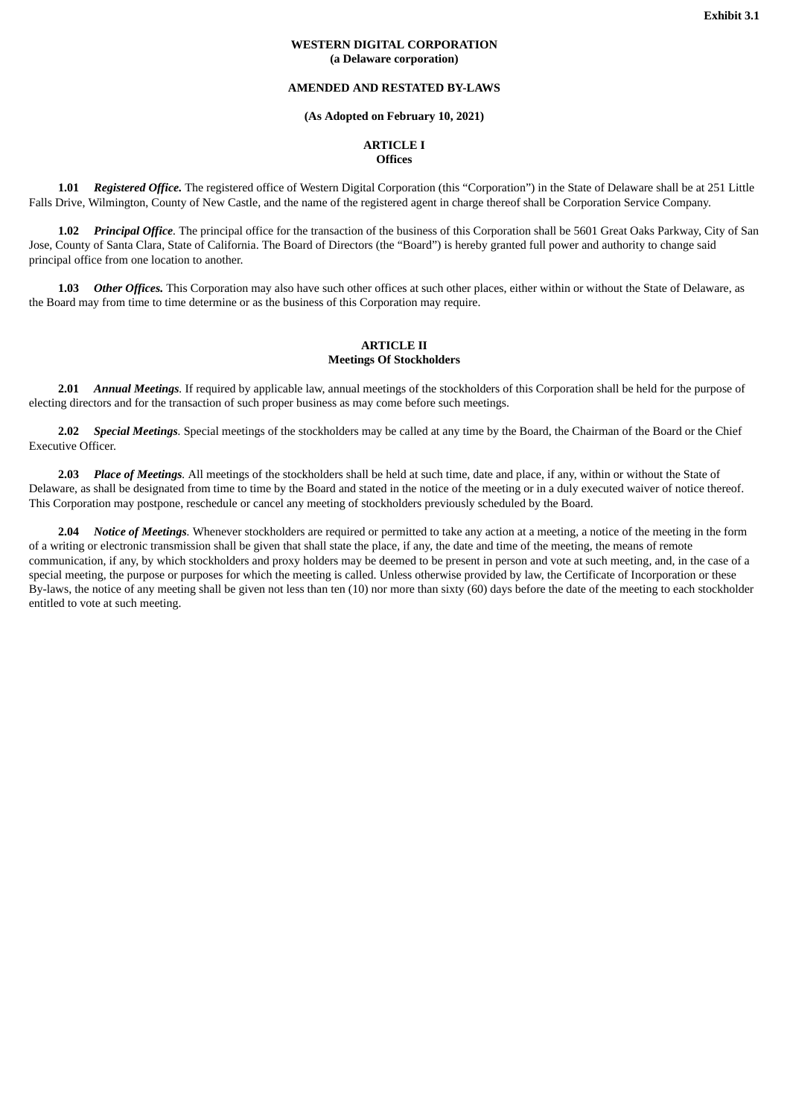#### **WESTERN DIGITAL CORPORATION (a Delaware corporation)**

#### **AMENDED AND RESTATED BY-LAWS**

#### **(As Adopted on February 10, 2021)**

#### **ARTICLE I Offices**

<span id="page-3-0"></span>**1.01** *Registered Office.* The registered office of Western Digital Corporation (this "Corporation") in the State of Delaware shall be at 251 Little Falls Drive, Wilmington, County of New Castle, and the name of the registered agent in charge thereof shall be Corporation Service Company.

**1.02** *Principal Office.* The principal office for the transaction of the business of this Corporation shall be 5601 Great Oaks Parkway, City of San Jose, County of Santa Clara, State of California. The Board of Directors (the "Board") is hereby granted full power and authority to change said principal office from one location to another.

**1.03** *Other Offices.* This Corporation may also have such other offices at such other places, either within or without the State of Delaware, as the Board may from time to time determine or as the business of this Corporation may require.

#### **ARTICLE II Meetings Of Stockholders**

**2.01** *Annual Meetings.* If required by applicable law, annual meetings of the stockholders of this Corporation shall be held for the purpose of electing directors and for the transaction of such proper business as may come before such meetings.

**2.02** *Special Meetings.* Special meetings of the stockholders may be called at any time by the Board, the Chairman of the Board or the Chief Executive Officer.

**2.03** *Place of Meetings.* All meetings of the stockholders shall be held at such time, date and place, if any, within or without the State of Delaware, as shall be designated from time to time by the Board and stated in the notice of the meeting or in a duly executed waiver of notice thereof. This Corporation may postpone, reschedule or cancel any meeting of stockholders previously scheduled by the Board.

**2.04** *Notice of Meetings.* Whenever stockholders are required or permitted to take any action at a meeting, a notice of the meeting in the form of a writing or electronic transmission shall be given that shall state the place, if any, the date and time of the meeting, the means of remote communication, if any, by which stockholders and proxy holders may be deemed to be present in person and vote at such meeting, and, in the case of a special meeting, the purpose or purposes for which the meeting is called. Unless otherwise provided by law, the Certificate of Incorporation or these By-laws, the notice of any meeting shall be given not less than ten (10) nor more than sixty (60) days before the date of the meeting to each stockholder entitled to vote at such meeting.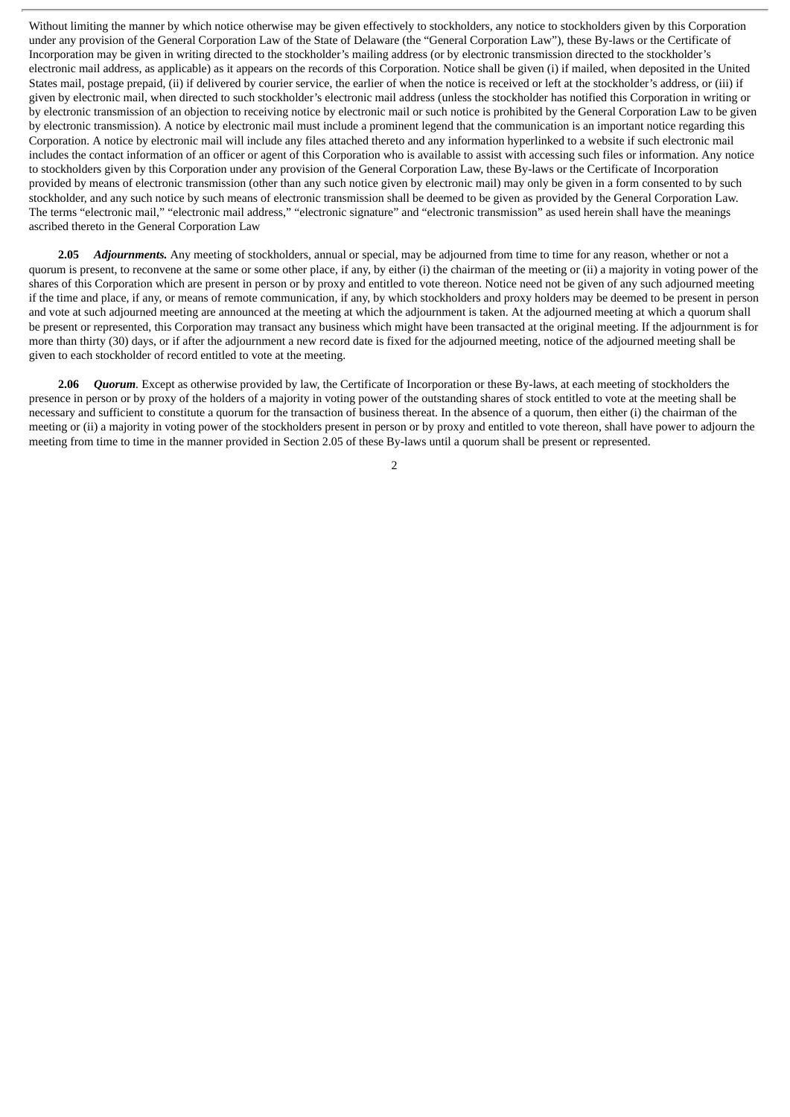Without limiting the manner by which notice otherwise may be given effectively to stockholders, any notice to stockholders given by this Corporation under any provision of the General Corporation Law of the State of Delaware (the "General Corporation Law"), these By-laws or the Certificate of Incorporation may be given in writing directed to the stockholder's mailing address (or by electronic transmission directed to the stockholder's electronic mail address, as applicable) as it appears on the records of this Corporation. Notice shall be given (i) if mailed, when deposited in the United States mail, postage prepaid, (ii) if delivered by courier service, the earlier of when the notice is received or left at the stockholder's address, or (iii) if given by electronic mail, when directed to such stockholder's electronic mail address (unless the stockholder has notified this Corporation in writing or by electronic transmission of an objection to receiving notice by electronic mail or such notice is prohibited by the General Corporation Law to be given by electronic transmission). A notice by electronic mail must include a prominent legend that the communication is an important notice regarding this Corporation. A notice by electronic mail will include any files attached thereto and any information hyperlinked to a website if such electronic mail includes the contact information of an officer or agent of this Corporation who is available to assist with accessing such files or information. Any notice to stockholders given by this Corporation under any provision of the General Corporation Law, these By-laws or the Certificate of Incorporation provided by means of electronic transmission (other than any such notice given by electronic mail) may only be given in a form consented to by such stockholder, and any such notice by such means of electronic transmission shall be deemed to be given as provided by the General Corporation Law. The terms "electronic mail," "electronic mail address," "electronic signature" and "electronic transmission" as used herein shall have the meanings ascribed thereto in the General Corporation Law

**2.05** *Adjournments.* Any meeting of stockholders, annual or special, may be adjourned from time to time for any reason, whether or not a quorum is present, to reconvene at the same or some other place, if any, by either (i) the chairman of the meeting or (ii) a majority in voting power of the shares of this Corporation which are present in person or by proxy and entitled to vote thereon. Notice need not be given of any such adjourned meeting if the time and place, if any, or means of remote communication, if any, by which stockholders and proxy holders may be deemed to be present in person and vote at such adjourned meeting are announced at the meeting at which the adjournment is taken. At the adjourned meeting at which a quorum shall be present or represented, this Corporation may transact any business which might have been transacted at the original meeting. If the adjournment is for more than thirty (30) days, or if after the adjournment a new record date is fixed for the adjourned meeting, notice of the adjourned meeting shall be given to each stockholder of record entitled to vote at the meeting.

**2.06** *Quorum.* Except as otherwise provided by law, the Certificate of Incorporation or these By-laws, at each meeting of stockholders the presence in person or by proxy of the holders of a majority in voting power of the outstanding shares of stock entitled to vote at the meeting shall be necessary and sufficient to constitute a quorum for the transaction of business thereat. In the absence of a quorum, then either (i) the chairman of the meeting or (ii) a majority in voting power of the stockholders present in person or by proxy and entitled to vote thereon, shall have power to adjourn the meeting from time to time in the manner provided in Section 2.05 of these By-laws until a quorum shall be present or represented.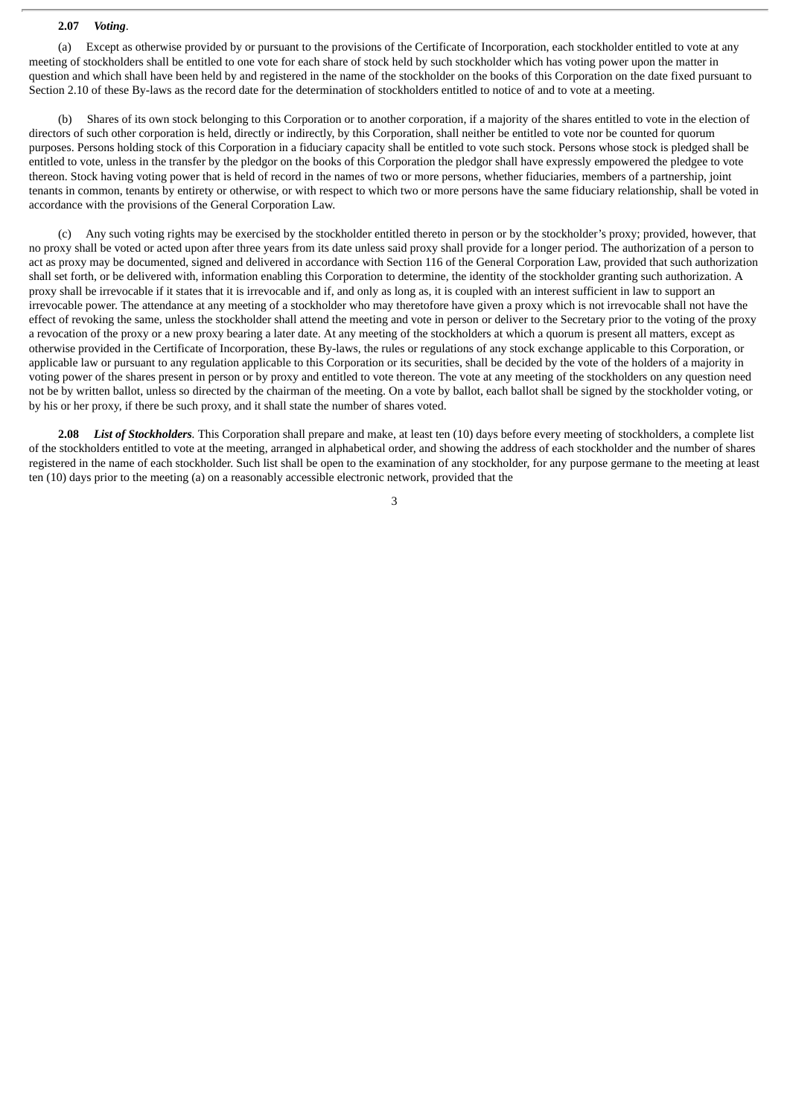#### **2.07** *Voting*.

(a) Except as otherwise provided by or pursuant to the provisions of the Certificate of Incorporation, each stockholder entitled to vote at any meeting of stockholders shall be entitled to one vote for each share of stock held by such stockholder which has voting power upon the matter in question and which shall have been held by and registered in the name of the stockholder on the books of this Corporation on the date fixed pursuant to Section 2.10 of these By-laws as the record date for the determination of stockholders entitled to notice of and to vote at a meeting.

Shares of its own stock belonging to this Corporation or to another corporation, if a majority of the shares entitled to vote in the election of directors of such other corporation is held, directly or indirectly, by this Corporation, shall neither be entitled to vote nor be counted for quorum purposes. Persons holding stock of this Corporation in a fiduciary capacity shall be entitled to vote such stock. Persons whose stock is pledged shall be entitled to vote, unless in the transfer by the pledgor on the books of this Corporation the pledgor shall have expressly empowered the pledgee to vote thereon. Stock having voting power that is held of record in the names of two or more persons, whether fiduciaries, members of a partnership, joint tenants in common, tenants by entirety or otherwise, or with respect to which two or more persons have the same fiduciary relationship, shall be voted in accordance with the provisions of the General Corporation Law.

(c) Any such voting rights may be exercised by the stockholder entitled thereto in person or by the stockholder's proxy; provided, however, that no proxy shall be voted or acted upon after three years from its date unless said proxy shall provide for a longer period. The authorization of a person to act as proxy may be documented, signed and delivered in accordance with Section 116 of the General Corporation Law, provided that such authorization shall set forth, or be delivered with, information enabling this Corporation to determine, the identity of the stockholder granting such authorization. A proxy shall be irrevocable if it states that it is irrevocable and if, and only as long as, it is coupled with an interest sufficient in law to support an irrevocable power. The attendance at any meeting of a stockholder who may theretofore have given a proxy which is not irrevocable shall not have the effect of revoking the same, unless the stockholder shall attend the meeting and vote in person or deliver to the Secretary prior to the voting of the proxy a revocation of the proxy or a new proxy bearing a later date. At any meeting of the stockholders at which a quorum is present all matters, except as otherwise provided in the Certificate of Incorporation, these By-laws, the rules or regulations of any stock exchange applicable to this Corporation, or applicable law or pursuant to any regulation applicable to this Corporation or its securities, shall be decided by the vote of the holders of a majority in voting power of the shares present in person or by proxy and entitled to vote thereon. The vote at any meeting of the stockholders on any question need not be by written ballot, unless so directed by the chairman of the meeting. On a vote by ballot, each ballot shall be signed by the stockholder voting, or by his or her proxy, if there be such proxy, and it shall state the number of shares voted.

**2.08** *List of Stockholders.* This Corporation shall prepare and make, at least ten (10) days before every meeting of stockholders, a complete list of the stockholders entitled to vote at the meeting, arranged in alphabetical order, and showing the address of each stockholder and the number of shares registered in the name of each stockholder. Such list shall be open to the examination of any stockholder, for any purpose germane to the meeting at least ten (10) days prior to the meeting (a) on a reasonably accessible electronic network, provided that the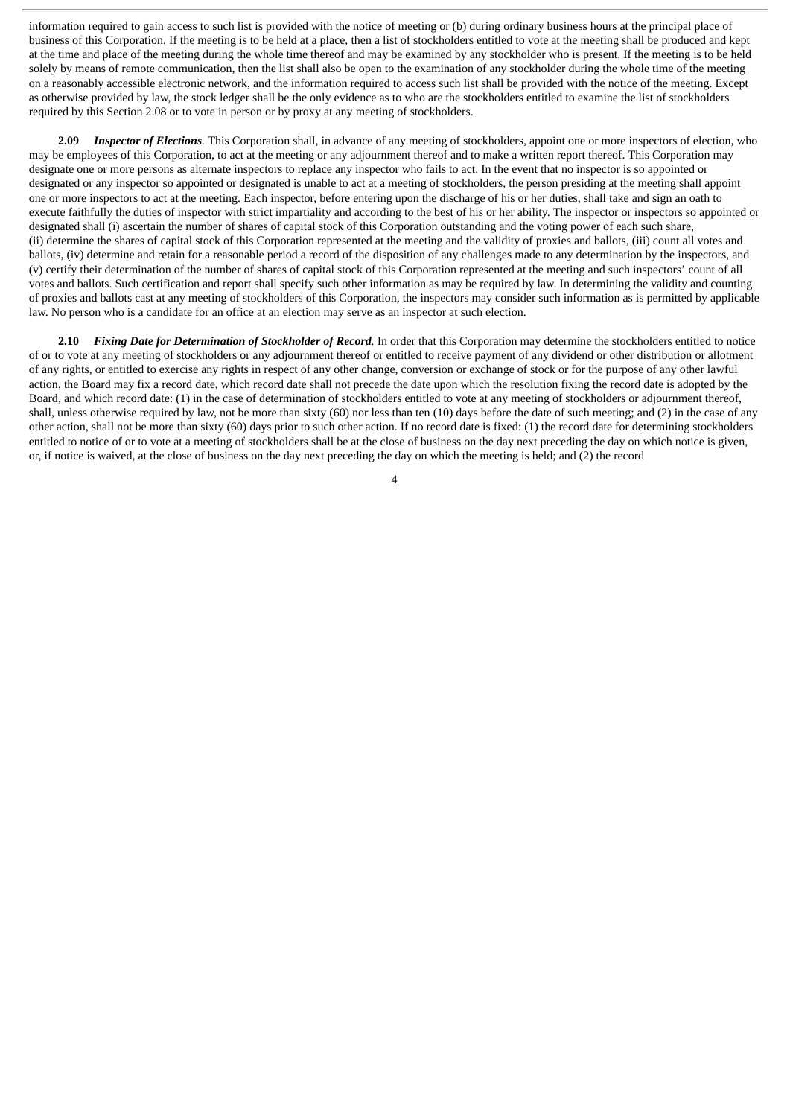information required to gain access to such list is provided with the notice of meeting or (b) during ordinary business hours at the principal place of business of this Corporation. If the meeting is to be held at a place, then a list of stockholders entitled to vote at the meeting shall be produced and kept at the time and place of the meeting during the whole time thereof and may be examined by any stockholder who is present. If the meeting is to be held solely by means of remote communication, then the list shall also be open to the examination of any stockholder during the whole time of the meeting on a reasonably accessible electronic network, and the information required to access such list shall be provided with the notice of the meeting. Except as otherwise provided by law, the stock ledger shall be the only evidence as to who are the stockholders entitled to examine the list of stockholders required by this Section 2.08 or to vote in person or by proxy at any meeting of stockholders.

**2.09** *Inspector of Elections.* This Corporation shall, in advance of any meeting of stockholders, appoint one or more inspectors of election, who may be employees of this Corporation, to act at the meeting or any adjournment thereof and to make a written report thereof. This Corporation may designate one or more persons as alternate inspectors to replace any inspector who fails to act. In the event that no inspector is so appointed or designated or any inspector so appointed or designated is unable to act at a meeting of stockholders, the person presiding at the meeting shall appoint one or more inspectors to act at the meeting. Each inspector, before entering upon the discharge of his or her duties, shall take and sign an oath to execute faithfully the duties of inspector with strict impartiality and according to the best of his or her ability. The inspector or inspectors so appointed or designated shall (i) ascertain the number of shares of capital stock of this Corporation outstanding and the voting power of each such share, (ii) determine the shares of capital stock of this Corporation represented at the meeting and the validity of proxies and ballots, (iii) count all votes and ballots, (iv) determine and retain for a reasonable period a record of the disposition of any challenges made to any determination by the inspectors, and (v) certify their determination of the number of shares of capital stock of this Corporation represented at the meeting and such inspectors' count of all votes and ballots. Such certification and report shall specify such other information as may be required by law. In determining the validity and counting of proxies and ballots cast at any meeting of stockholders of this Corporation, the inspectors may consider such information as is permitted by applicable law. No person who is a candidate for an office at an election may serve as an inspector at such election.

**2.10** *Fixing Date for Determination of Stockholder of Record.* In order that this Corporation may determine the stockholders entitled to notice of or to vote at any meeting of stockholders or any adjournment thereof or entitled to receive payment of any dividend or other distribution or allotment of any rights, or entitled to exercise any rights in respect of any other change, conversion or exchange of stock or for the purpose of any other lawful action, the Board may fix a record date, which record date shall not precede the date upon which the resolution fixing the record date is adopted by the Board, and which record date: (1) in the case of determination of stockholders entitled to vote at any meeting of stockholders or adjournment thereof, shall, unless otherwise required by law, not be more than sixty (60) nor less than ten (10) days before the date of such meeting; and (2) in the case of any other action, shall not be more than sixty (60) days prior to such other action. If no record date is fixed: (1) the record date for determining stockholders entitled to notice of or to vote at a meeting of stockholders shall be at the close of business on the day next preceding the day on which notice is given, or, if notice is waived, at the close of business on the day next preceding the day on which the meeting is held; and (2) the record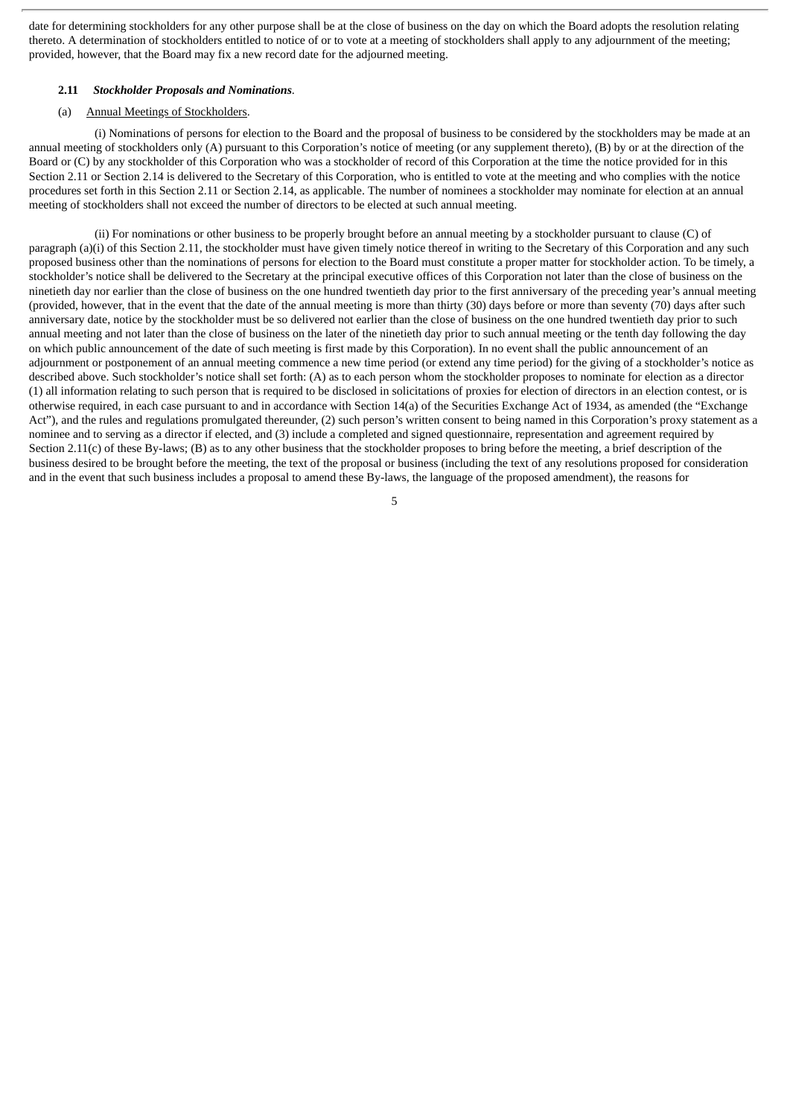date for determining stockholders for any other purpose shall be at the close of business on the day on which the Board adopts the resolution relating thereto. A determination of stockholders entitled to notice of or to vote at a meeting of stockholders shall apply to any adjournment of the meeting; provided, however, that the Board may fix a new record date for the adjourned meeting.

#### **2.11** *Stockholder Proposals and Nominations*.

#### (a) Annual Meetings of Stockholders.

(i) Nominations of persons for election to the Board and the proposal of business to be considered by the stockholders may be made at an annual meeting of stockholders only (A) pursuant to this Corporation's notice of meeting (or any supplement thereto), (B) by or at the direction of the Board or (C) by any stockholder of this Corporation who was a stockholder of record of this Corporation at the time the notice provided for in this Section 2.11 or Section 2.14 is delivered to the Secretary of this Corporation, who is entitled to vote at the meeting and who complies with the notice procedures set forth in this Section 2.11 or Section 2.14, as applicable. The number of nominees a stockholder may nominate for election at an annual meeting of stockholders shall not exceed the number of directors to be elected at such annual meeting.

(ii) For nominations or other business to be properly brought before an annual meeting by a stockholder pursuant to clause (C) of paragraph (a)(i) of this Section 2.11, the stockholder must have given timely notice thereof in writing to the Secretary of this Corporation and any such proposed business other than the nominations of persons for election to the Board must constitute a proper matter for stockholder action. To be timely, a stockholder's notice shall be delivered to the Secretary at the principal executive offices of this Corporation not later than the close of business on the ninetieth day nor earlier than the close of business on the one hundred twentieth day prior to the first anniversary of the preceding year's annual meeting (provided, however, that in the event that the date of the annual meeting is more than thirty (30) days before or more than seventy (70) days after such anniversary date, notice by the stockholder must be so delivered not earlier than the close of business on the one hundred twentieth day prior to such annual meeting and not later than the close of business on the later of the ninetieth day prior to such annual meeting or the tenth day following the day on which public announcement of the date of such meeting is first made by this Corporation). In no event shall the public announcement of an adjournment or postponement of an annual meeting commence a new time period (or extend any time period) for the giving of a stockholder's notice as described above. Such stockholder's notice shall set forth: (A) as to each person whom the stockholder proposes to nominate for election as a director (1) all information relating to such person that is required to be disclosed in solicitations of proxies for election of directors in an election contest, or is otherwise required, in each case pursuant to and in accordance with Section 14(a) of the Securities Exchange Act of 1934, as amended (the "Exchange Act"), and the rules and regulations promulgated thereunder, (2) such person's written consent to being named in this Corporation's proxy statement as a nominee and to serving as a director if elected, and (3) include a completed and signed questionnaire, representation and agreement required by Section 2.11(c) of these By-laws; (B) as to any other business that the stockholder proposes to bring before the meeting, a brief description of the business desired to be brought before the meeting, the text of the proposal or business (including the text of any resolutions proposed for consideration and in the event that such business includes a proposal to amend these By-laws, the language of the proposed amendment), the reasons for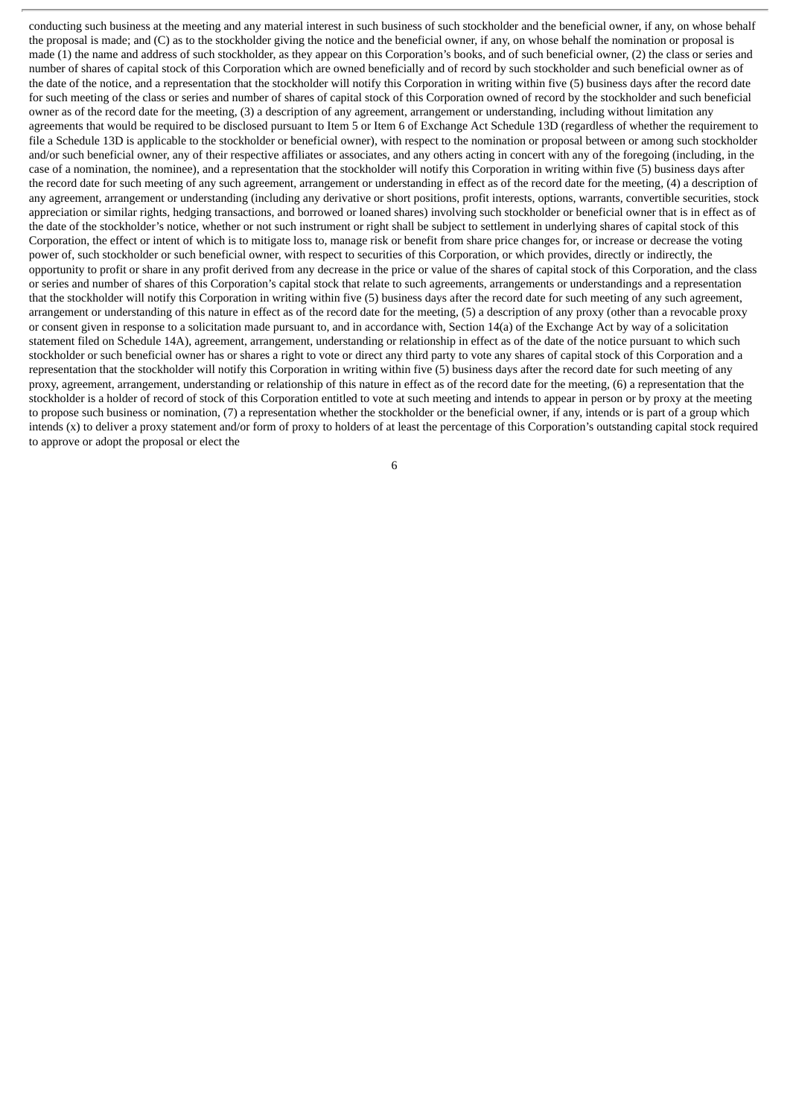conducting such business at the meeting and any material interest in such business of such stockholder and the beneficial owner, if any, on whose behalf the proposal is made; and (C) as to the stockholder giving the notice and the beneficial owner, if any, on whose behalf the nomination or proposal is made (1) the name and address of such stockholder, as they appear on this Corporation's books, and of such beneficial owner, (2) the class or series and number of shares of capital stock of this Corporation which are owned beneficially and of record by such stockholder and such beneficial owner as of the date of the notice, and a representation that the stockholder will notify this Corporation in writing within five (5) business days after the record date for such meeting of the class or series and number of shares of capital stock of this Corporation owned of record by the stockholder and such beneficial owner as of the record date for the meeting, (3) a description of any agreement, arrangement or understanding, including without limitation any agreements that would be required to be disclosed pursuant to Item 5 or Item 6 of Exchange Act Schedule 13D (regardless of whether the requirement to file a Schedule 13D is applicable to the stockholder or beneficial owner), with respect to the nomination or proposal between or among such stockholder and/or such beneficial owner, any of their respective affiliates or associates, and any others acting in concert with any of the foregoing (including, in the case of a nomination, the nominee), and a representation that the stockholder will notify this Corporation in writing within five (5) business days after the record date for such meeting of any such agreement, arrangement or understanding in effect as of the record date for the meeting, (4) a description of any agreement, arrangement or understanding (including any derivative or short positions, profit interests, options, warrants, convertible securities, stock appreciation or similar rights, hedging transactions, and borrowed or loaned shares) involving such stockholder or beneficial owner that is in effect as of the date of the stockholder's notice, whether or not such instrument or right shall be subject to settlement in underlying shares of capital stock of this Corporation, the effect or intent of which is to mitigate loss to, manage risk or benefit from share price changes for, or increase or decrease the voting power of, such stockholder or such beneficial owner, with respect to securities of this Corporation, or which provides, directly or indirectly, the opportunity to profit or share in any profit derived from any decrease in the price or value of the shares of capital stock of this Corporation, and the class or series and number of shares of this Corporation's capital stock that relate to such agreements, arrangements or understandings and a representation that the stockholder will notify this Corporation in writing within five (5) business days after the record date for such meeting of any such agreement, arrangement or understanding of this nature in effect as of the record date for the meeting, (5) a description of any proxy (other than a revocable proxy or consent given in response to a solicitation made pursuant to, and in accordance with, Section 14(a) of the Exchange Act by way of a solicitation statement filed on Schedule 14A), agreement, arrangement, understanding or relationship in effect as of the date of the notice pursuant to which such stockholder or such beneficial owner has or shares a right to vote or direct any third party to vote any shares of capital stock of this Corporation and a representation that the stockholder will notify this Corporation in writing within five (5) business days after the record date for such meeting of any proxy, agreement, arrangement, understanding or relationship of this nature in effect as of the record date for the meeting, (6) a representation that the stockholder is a holder of record of stock of this Corporation entitled to vote at such meeting and intends to appear in person or by proxy at the meeting to propose such business or nomination, (7) a representation whether the stockholder or the beneficial owner, if any, intends or is part of a group which intends (x) to deliver a proxy statement and/or form of proxy to holders of at least the percentage of this Corporation's outstanding capital stock required to approve or adopt the proposal or elect the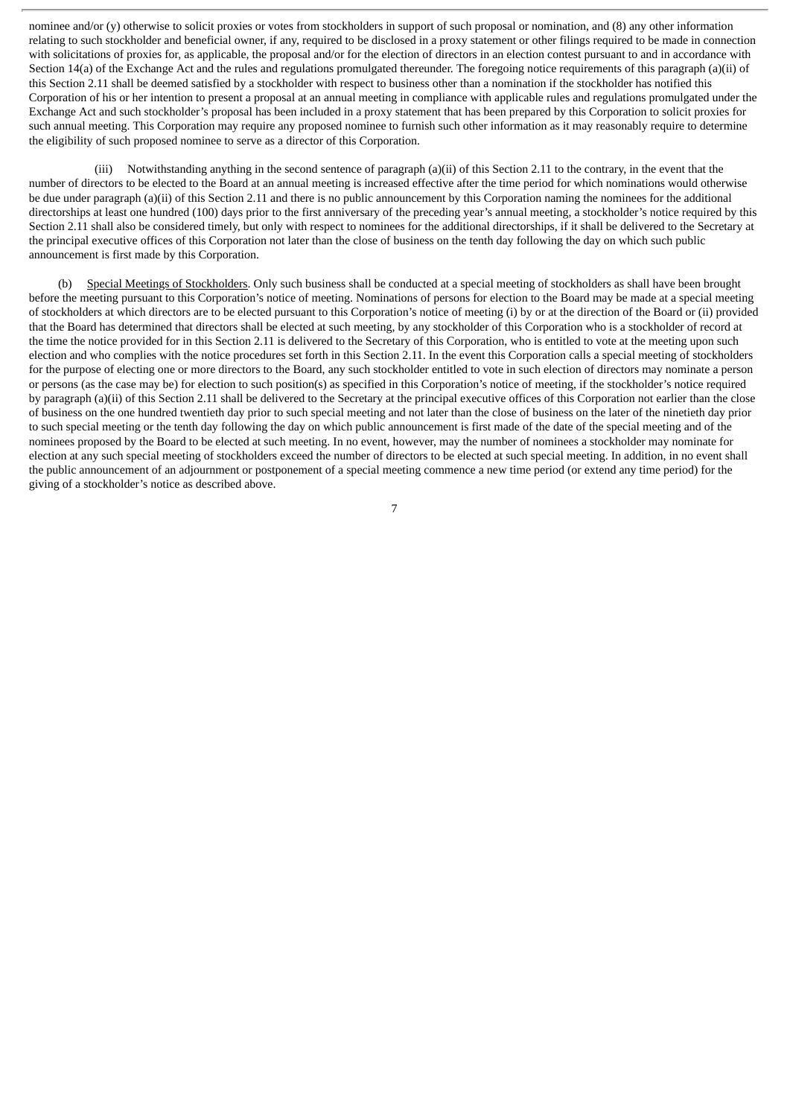nominee and/or (y) otherwise to solicit proxies or votes from stockholders in support of such proposal or nomination, and (8) any other information relating to such stockholder and beneficial owner, if any, required to be disclosed in a proxy statement or other filings required to be made in connection with solicitations of proxies for, as applicable, the proposal and/or for the election of directors in an election contest pursuant to and in accordance with Section 14(a) of the Exchange Act and the rules and regulations promulgated thereunder. The foregoing notice requirements of this paragraph (a)(ii) of this Section 2.11 shall be deemed satisfied by a stockholder with respect to business other than a nomination if the stockholder has notified this Corporation of his or her intention to present a proposal at an annual meeting in compliance with applicable rules and regulations promulgated under the Exchange Act and such stockholder's proposal has been included in a proxy statement that has been prepared by this Corporation to solicit proxies for such annual meeting. This Corporation may require any proposed nominee to furnish such other information as it may reasonably require to determine the eligibility of such proposed nominee to serve as a director of this Corporation.

(iii) Notwithstanding anything in the second sentence of paragraph (a)(ii) of this Section 2.11 to the contrary, in the event that the number of directors to be elected to the Board at an annual meeting is increased effective after the time period for which nominations would otherwise be due under paragraph (a)(ii) of this Section 2.11 and there is no public announcement by this Corporation naming the nominees for the additional directorships at least one hundred (100) days prior to the first anniversary of the preceding year's annual meeting, a stockholder's notice required by this Section 2.11 shall also be considered timely, but only with respect to nominees for the additional directorships, if it shall be delivered to the Secretary at the principal executive offices of this Corporation not later than the close of business on the tenth day following the day on which such public announcement is first made by this Corporation.

(b) Special Meetings of Stockholders. Only such business shall be conducted at a special meeting of stockholders as shall have been brought before the meeting pursuant to this Corporation's notice of meeting. Nominations of persons for election to the Board may be made at a special meeting of stockholders at which directors are to be elected pursuant to this Corporation's notice of meeting (i) by or at the direction of the Board or (ii) provided that the Board has determined that directors shall be elected at such meeting, by any stockholder of this Corporation who is a stockholder of record at the time the notice provided for in this Section 2.11 is delivered to the Secretary of this Corporation, who is entitled to vote at the meeting upon such election and who complies with the notice procedures set forth in this Section 2.11. In the event this Corporation calls a special meeting of stockholders for the purpose of electing one or more directors to the Board, any such stockholder entitled to vote in such election of directors may nominate a person or persons (as the case may be) for election to such position(s) as specified in this Corporation's notice of meeting, if the stockholder's notice required by paragraph (a)(ii) of this Section 2.11 shall be delivered to the Secretary at the principal executive offices of this Corporation not earlier than the close of business on the one hundred twentieth day prior to such special meeting and not later than the close of business on the later of the ninetieth day prior to such special meeting or the tenth day following the day on which public announcement is first made of the date of the special meeting and of the nominees proposed by the Board to be elected at such meeting. In no event, however, may the number of nominees a stockholder may nominate for election at any such special meeting of stockholders exceed the number of directors to be elected at such special meeting. In addition, in no event shall the public announcement of an adjournment or postponement of a special meeting commence a new time period (or extend any time period) for the giving of a stockholder's notice as described above.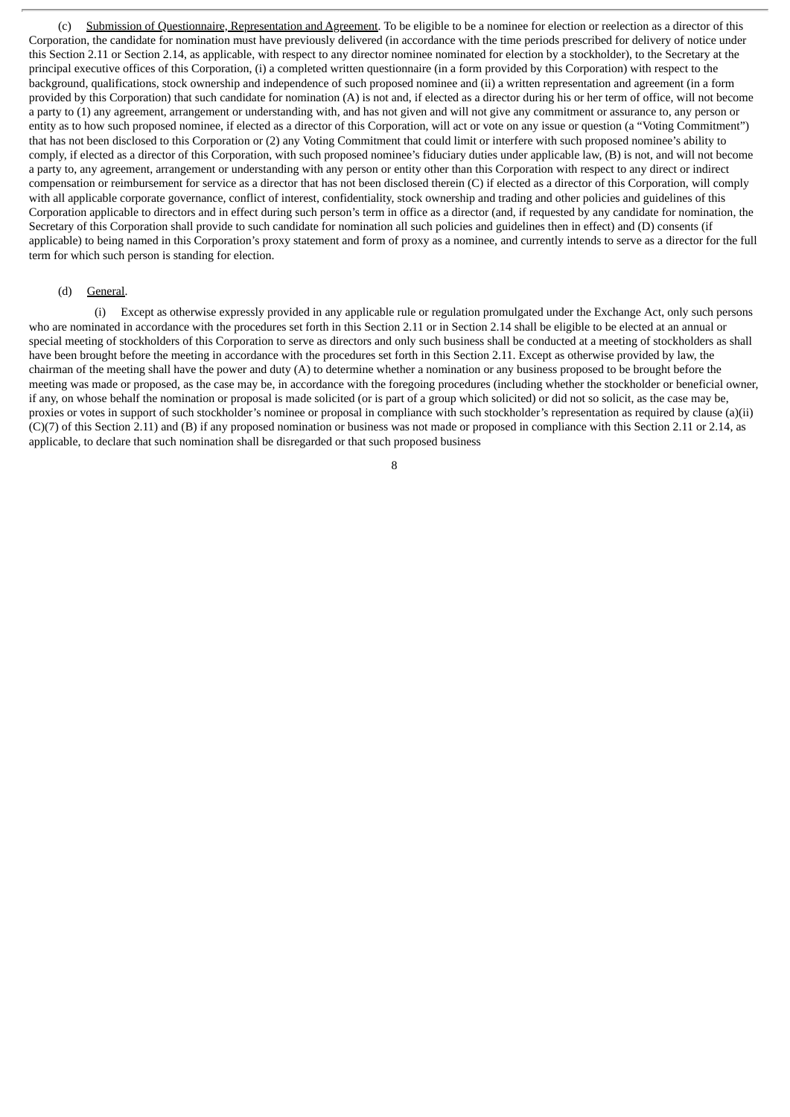(c) Submission of Questionnaire, Representation and Agreement. To be eligible to be a nominee for election or reelection as a director of this Corporation, the candidate for nomination must have previously delivered (in accordance with the time periods prescribed for delivery of notice under this Section 2.11 or Section 2.14, as applicable, with respect to any director nominee nominated for election by a stockholder), to the Secretary at the principal executive offices of this Corporation, (i) a completed written questionnaire (in a form provided by this Corporation) with respect to the background, qualifications, stock ownership and independence of such proposed nominee and (ii) a written representation and agreement (in a form provided by this Corporation) that such candidate for nomination (A) is not and, if elected as a director during his or her term of office, will not become a party to (1) any agreement, arrangement or understanding with, and has not given and will not give any commitment or assurance to, any person or entity as to how such proposed nominee, if elected as a director of this Corporation, will act or vote on any issue or question (a "Voting Commitment") that has not been disclosed to this Corporation or (2) any Voting Commitment that could limit or interfere with such proposed nominee's ability to comply, if elected as a director of this Corporation, with such proposed nominee's fiduciary duties under applicable law, (B) is not, and will not become a party to, any agreement, arrangement or understanding with any person or entity other than this Corporation with respect to any direct or indirect compensation or reimbursement for service as a director that has not been disclosed therein (C) if elected as a director of this Corporation, will comply with all applicable corporate governance, conflict of interest, confidentiality, stock ownership and trading and other policies and guidelines of this Corporation applicable to directors and in effect during such person's term in office as a director (and, if requested by any candidate for nomination, the Secretary of this Corporation shall provide to such candidate for nomination all such policies and guidelines then in effect) and (D) consents (if applicable) to being named in this Corporation's proxy statement and form of proxy as a nominee, and currently intends to serve as a director for the full term for which such person is standing for election.

#### (d) General.

(i) Except as otherwise expressly provided in any applicable rule or regulation promulgated under the Exchange Act, only such persons who are nominated in accordance with the procedures set forth in this Section 2.11 or in Section 2.14 shall be eligible to be elected at an annual or special meeting of stockholders of this Corporation to serve as directors and only such business shall be conducted at a meeting of stockholders as shall have been brought before the meeting in accordance with the procedures set forth in this Section 2.11. Except as otherwise provided by law, the chairman of the meeting shall have the power and duty (A) to determine whether a nomination or any business proposed to be brought before the meeting was made or proposed, as the case may be, in accordance with the foregoing procedures (including whether the stockholder or beneficial owner, if any, on whose behalf the nomination or proposal is made solicited (or is part of a group which solicited) or did not so solicit, as the case may be, proxies or votes in support of such stockholder's nominee or proposal in compliance with such stockholder's representation as required by clause (a)(ii) (C)(7) of this Section 2.11) and (B) if any proposed nomination or business was not made or proposed in compliance with this Section 2.11 or 2.14, as applicable, to declare that such nomination shall be disregarded or that such proposed business

<sup>8</sup>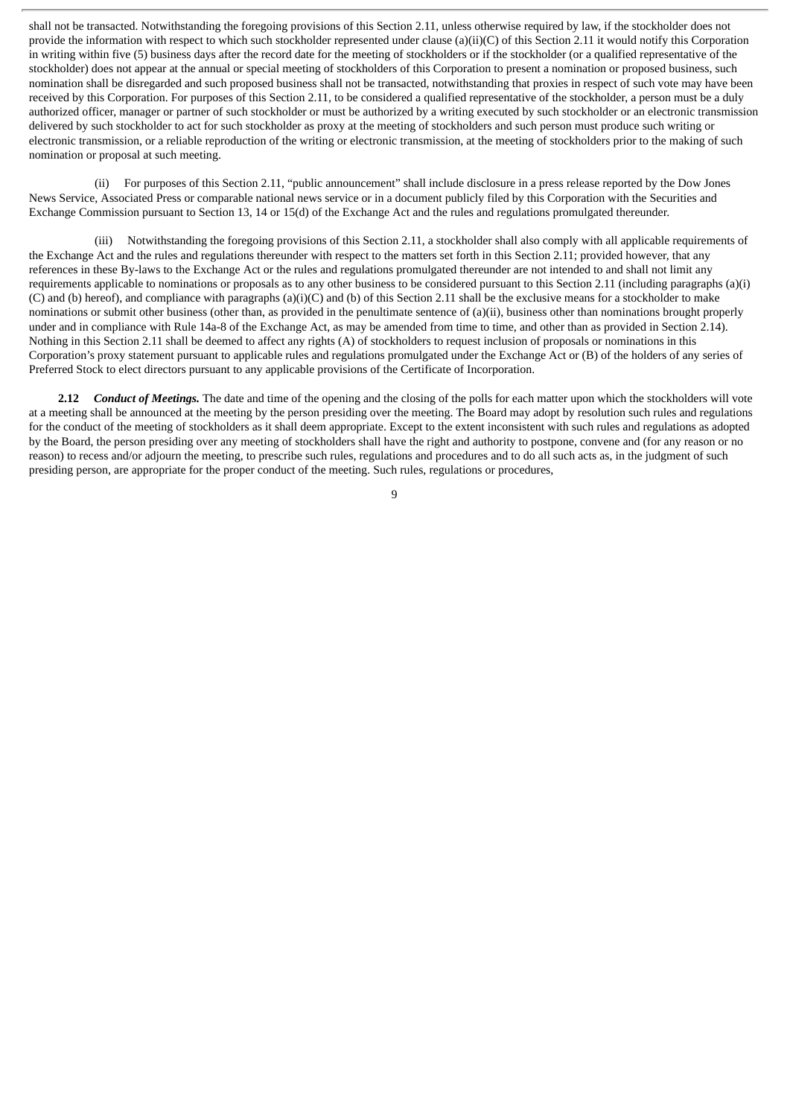shall not be transacted. Notwithstanding the foregoing provisions of this Section 2.11, unless otherwise required by law, if the stockholder does not provide the information with respect to which such stockholder represented under clause (a)(ii)(C) of this Section 2.11 it would notify this Corporation in writing within five (5) business days after the record date for the meeting of stockholders or if the stockholder (or a qualified representative of the stockholder) does not appear at the annual or special meeting of stockholders of this Corporation to present a nomination or proposed business, such nomination shall be disregarded and such proposed business shall not be transacted, notwithstanding that proxies in respect of such vote may have been received by this Corporation. For purposes of this Section 2.11, to be considered a qualified representative of the stockholder, a person must be a duly authorized officer, manager or partner of such stockholder or must be authorized by a writing executed by such stockholder or an electronic transmission delivered by such stockholder to act for such stockholder as proxy at the meeting of stockholders and such person must produce such writing or electronic transmission, or a reliable reproduction of the writing or electronic transmission, at the meeting of stockholders prior to the making of such nomination or proposal at such meeting.

(ii) For purposes of this Section 2.11, "public announcement" shall include disclosure in a press release reported by the Dow Jones News Service, Associated Press or comparable national news service or in a document publicly filed by this Corporation with the Securities and Exchange Commission pursuant to Section 13, 14 or 15(d) of the Exchange Act and the rules and regulations promulgated thereunder.

(iii) Notwithstanding the foregoing provisions of this Section 2.11, a stockholder shall also comply with all applicable requirements of the Exchange Act and the rules and regulations thereunder with respect to the matters set forth in this Section 2.11; provided however, that any references in these By-laws to the Exchange Act or the rules and regulations promulgated thereunder are not intended to and shall not limit any requirements applicable to nominations or proposals as to any other business to be considered pursuant to this Section 2.11 (including paragraphs (a)(i) (C) and (b) hereof), and compliance with paragraphs (a)(i)(C) and (b) of this Section 2.11 shall be the exclusive means for a stockholder to make nominations or submit other business (other than, as provided in the penultimate sentence of (a)(ii), business other than nominations brought properly under and in compliance with Rule 14a-8 of the Exchange Act, as may be amended from time to time, and other than as provided in Section 2.14). Nothing in this Section 2.11 shall be deemed to affect any rights (A) of stockholders to request inclusion of proposals or nominations in this Corporation's proxy statement pursuant to applicable rules and regulations promulgated under the Exchange Act or (B) of the holders of any series of Preferred Stock to elect directors pursuant to any applicable provisions of the Certificate of Incorporation.

**2.12** *Conduct of Meetings.* The date and time of the opening and the closing of the polls for each matter upon which the stockholders will vote at a meeting shall be announced at the meeting by the person presiding over the meeting. The Board may adopt by resolution such rules and regulations for the conduct of the meeting of stockholders as it shall deem appropriate. Except to the extent inconsistent with such rules and regulations as adopted by the Board, the person presiding over any meeting of stockholders shall have the right and authority to postpone, convene and (for any reason or no reason) to recess and/or adjourn the meeting, to prescribe such rules, regulations and procedures and to do all such acts as, in the judgment of such presiding person, are appropriate for the proper conduct of the meeting. Such rules, regulations or procedures,

 $\mathbf q$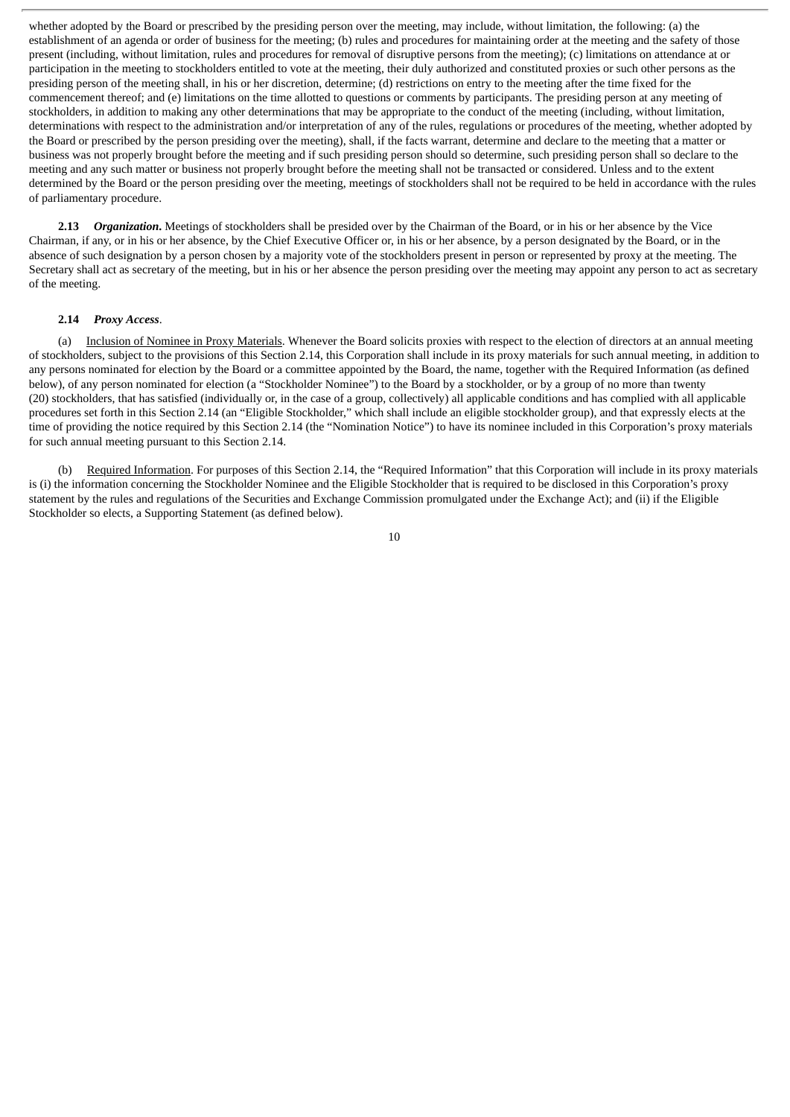whether adopted by the Board or prescribed by the presiding person over the meeting, may include, without limitation, the following: (a) the establishment of an agenda or order of business for the meeting; (b) rules and procedures for maintaining order at the meeting and the safety of those present (including, without limitation, rules and procedures for removal of disruptive persons from the meeting); (c) limitations on attendance at or participation in the meeting to stockholders entitled to vote at the meeting, their duly authorized and constituted proxies or such other persons as the presiding person of the meeting shall, in his or her discretion, determine; (d) restrictions on entry to the meeting after the time fixed for the commencement thereof; and (e) limitations on the time allotted to questions or comments by participants. The presiding person at any meeting of stockholders, in addition to making any other determinations that may be appropriate to the conduct of the meeting (including, without limitation, determinations with respect to the administration and/or interpretation of any of the rules, regulations or procedures of the meeting, whether adopted by the Board or prescribed by the person presiding over the meeting), shall, if the facts warrant, determine and declare to the meeting that a matter or business was not properly brought before the meeting and if such presiding person should so determine, such presiding person shall so declare to the meeting and any such matter or business not properly brought before the meeting shall not be transacted or considered. Unless and to the extent determined by the Board or the person presiding over the meeting, meetings of stockholders shall not be required to be held in accordance with the rules of parliamentary procedure.

**2.13** *Organization***.** Meetings of stockholders shall be presided over by the Chairman of the Board, or in his or her absence by the Vice Chairman, if any, or in his or her absence, by the Chief Executive Officer or, in his or her absence, by a person designated by the Board, or in the absence of such designation by a person chosen by a majority vote of the stockholders present in person or represented by proxy at the meeting. The Secretary shall act as secretary of the meeting, but in his or her absence the person presiding over the meeting may appoint any person to act as secretary of the meeting.

#### **2.14** *Proxy Access*.

(a) Inclusion of Nominee in Proxy Materials. Whenever the Board solicits proxies with respect to the election of directors at an annual meeting of stockholders, subject to the provisions of this Section 2.14, this Corporation shall include in its proxy materials for such annual meeting, in addition to any persons nominated for election by the Board or a committee appointed by the Board, the name, together with the Required Information (as defined below), of any person nominated for election (a "Stockholder Nominee") to the Board by a stockholder, or by a group of no more than twenty (20) stockholders, that has satisfied (individually or, in the case of a group, collectively) all applicable conditions and has complied with all applicable procedures set forth in this Section 2.14 (an "Eligible Stockholder," which shall include an eligible stockholder group), and that expressly elects at the time of providing the notice required by this Section 2.14 (the "Nomination Notice") to have its nominee included in this Corporation's proxy materials for such annual meeting pursuant to this Section 2.14.

(b) Required Information. For purposes of this Section 2.14, the "Required Information" that this Corporation will include in its proxy materials is (i) the information concerning the Stockholder Nominee and the Eligible Stockholder that is required to be disclosed in this Corporation's proxy statement by the rules and regulations of the Securities and Exchange Commission promulgated under the Exchange Act); and (ii) if the Eligible Stockholder so elects, a Supporting Statement (as defined below).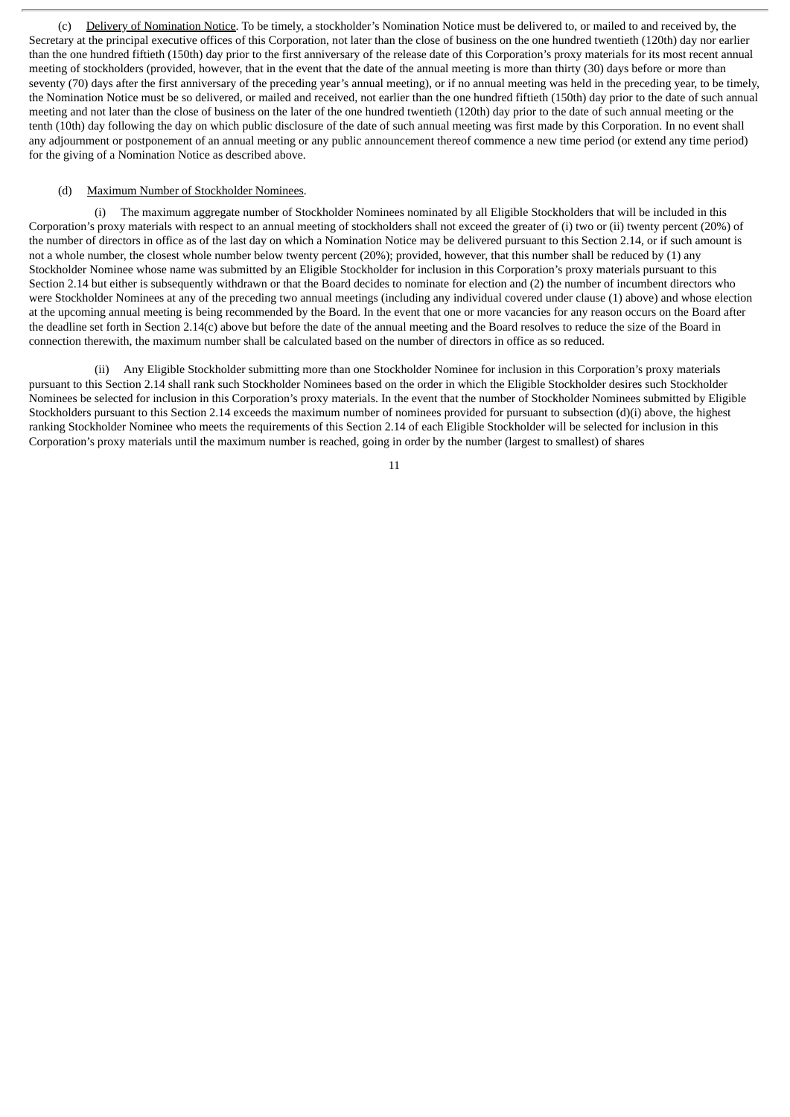(c) Delivery of Nomination Notice. To be timely, a stockholder's Nomination Notice must be delivered to, or mailed to and received by, the Secretary at the principal executive offices of this Corporation, not later than the close of business on the one hundred twentieth (120th) day nor earlier than the one hundred fiftieth (150th) day prior to the first anniversary of the release date of this Corporation's proxy materials for its most recent annual meeting of stockholders (provided, however, that in the event that the date of the annual meeting is more than thirty (30) days before or more than seventy (70) days after the first anniversary of the preceding year's annual meeting), or if no annual meeting was held in the preceding year, to be timely, the Nomination Notice must be so delivered, or mailed and received, not earlier than the one hundred fiftieth (150th) day prior to the date of such annual meeting and not later than the close of business on the later of the one hundred twentieth (120th) day prior to the date of such annual meeting or the tenth (10th) day following the day on which public disclosure of the date of such annual meeting was first made by this Corporation. In no event shall any adjournment or postponement of an annual meeting or any public announcement thereof commence a new time period (or extend any time period) for the giving of a Nomination Notice as described above.

#### (d) Maximum Number of Stockholder Nominees.

The maximum aggregate number of Stockholder Nominees nominated by all Eligible Stockholders that will be included in this Corporation's proxy materials with respect to an annual meeting of stockholders shall not exceed the greater of (i) two or (ii) twenty percent (20%) of the number of directors in office as of the last day on which a Nomination Notice may be delivered pursuant to this Section 2.14, or if such amount is not a whole number, the closest whole number below twenty percent (20%); provided, however, that this number shall be reduced by (1) any Stockholder Nominee whose name was submitted by an Eligible Stockholder for inclusion in this Corporation's proxy materials pursuant to this Section 2.14 but either is subsequently withdrawn or that the Board decides to nominate for election and (2) the number of incumbent directors who were Stockholder Nominees at any of the preceding two annual meetings (including any individual covered under clause (1) above) and whose election at the upcoming annual meeting is being recommended by the Board. In the event that one or more vacancies for any reason occurs on the Board after the deadline set forth in Section 2.14(c) above but before the date of the annual meeting and the Board resolves to reduce the size of the Board in connection therewith, the maximum number shall be calculated based on the number of directors in office as so reduced.

(ii) Any Eligible Stockholder submitting more than one Stockholder Nominee for inclusion in this Corporation's proxy materials pursuant to this Section 2.14 shall rank such Stockholder Nominees based on the order in which the Eligible Stockholder desires such Stockholder Nominees be selected for inclusion in this Corporation's proxy materials. In the event that the number of Stockholder Nominees submitted by Eligible Stockholders pursuant to this Section 2.14 exceeds the maximum number of nominees provided for pursuant to subsection (d)(i) above, the highest ranking Stockholder Nominee who meets the requirements of this Section 2.14 of each Eligible Stockholder will be selected for inclusion in this Corporation's proxy materials until the maximum number is reached, going in order by the number (largest to smallest) of shares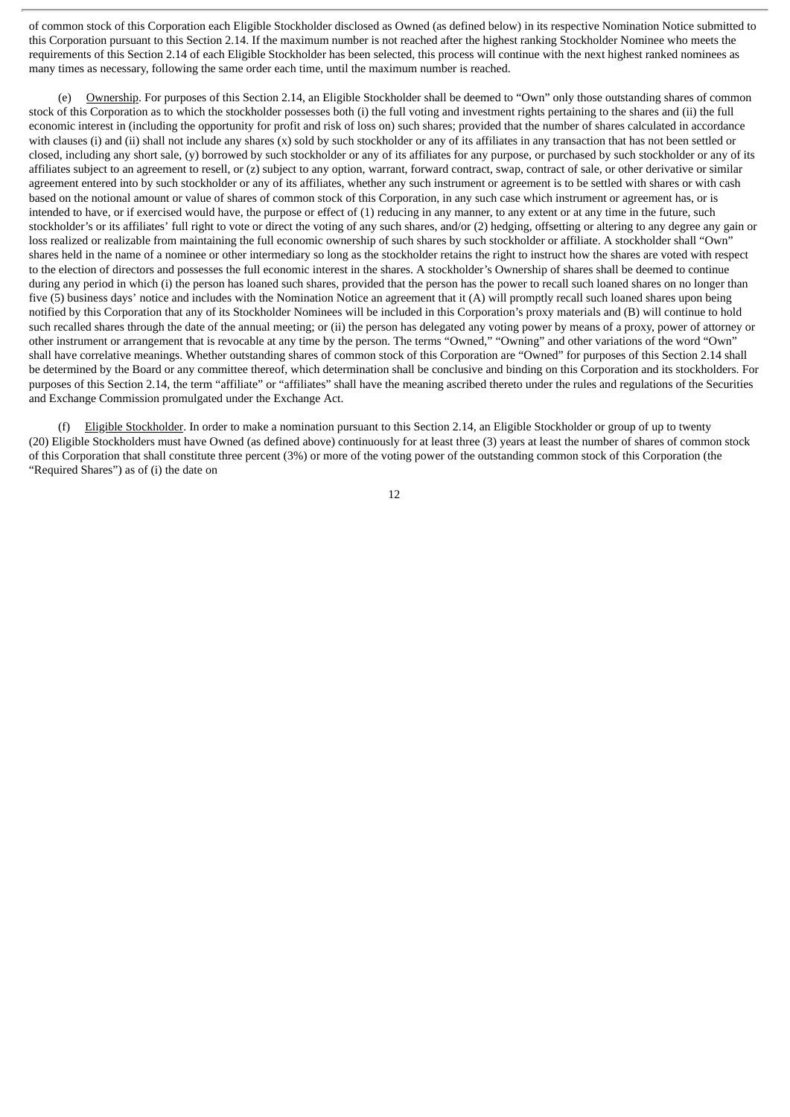of common stock of this Corporation each Eligible Stockholder disclosed as Owned (as defined below) in its respective Nomination Notice submitted to this Corporation pursuant to this Section 2.14. If the maximum number is not reached after the highest ranking Stockholder Nominee who meets the requirements of this Section 2.14 of each Eligible Stockholder has been selected, this process will continue with the next highest ranked nominees as many times as necessary, following the same order each time, until the maximum number is reached.

(e) Ownership. For purposes of this Section 2.14, an Eligible Stockholder shall be deemed to "Own" only those outstanding shares of common stock of this Corporation as to which the stockholder possesses both (i) the full voting and investment rights pertaining to the shares and (ii) the full economic interest in (including the opportunity for profit and risk of loss on) such shares; provided that the number of shares calculated in accordance with clauses (i) and (ii) shall not include any shares (x) sold by such stockholder or any of its affiliates in any transaction that has not been settled or closed, including any short sale, (y) borrowed by such stockholder or any of its affiliates for any purpose, or purchased by such stockholder or any of its affiliates subject to an agreement to resell, or (z) subject to any option, warrant, forward contract, swap, contract of sale, or other derivative or similar agreement entered into by such stockholder or any of its affiliates, whether any such instrument or agreement is to be settled with shares or with cash based on the notional amount or value of shares of common stock of this Corporation, in any such case which instrument or agreement has, or is intended to have, or if exercised would have, the purpose or effect of (1) reducing in any manner, to any extent or at any time in the future, such stockholder's or its affiliates' full right to vote or direct the voting of any such shares, and/or (2) hedging, offsetting or altering to any degree any gain or loss realized or realizable from maintaining the full economic ownership of such shares by such stockholder or affiliate. A stockholder shall "Own" shares held in the name of a nominee or other intermediary so long as the stockholder retains the right to instruct how the shares are voted with respect to the election of directors and possesses the full economic interest in the shares. A stockholder's Ownership of shares shall be deemed to continue during any period in which (i) the person has loaned such shares, provided that the person has the power to recall such loaned shares on no longer than five (5) business days' notice and includes with the Nomination Notice an agreement that it (A) will promptly recall such loaned shares upon being notified by this Corporation that any of its Stockholder Nominees will be included in this Corporation's proxy materials and (B) will continue to hold such recalled shares through the date of the annual meeting; or (ii) the person has delegated any voting power by means of a proxy, power of attorney or other instrument or arrangement that is revocable at any time by the person. The terms "Owned," "Owning" and other variations of the word "Own" shall have correlative meanings. Whether outstanding shares of common stock of this Corporation are "Owned" for purposes of this Section 2.14 shall be determined by the Board or any committee thereof, which determination shall be conclusive and binding on this Corporation and its stockholders. For purposes of this Section 2.14, the term "affiliate" or "affiliates" shall have the meaning ascribed thereto under the rules and regulations of the Securities and Exchange Commission promulgated under the Exchange Act.

(f) Eligible Stockholder. In order to make a nomination pursuant to this Section 2.14, an Eligible Stockholder or group of up to twenty (20) Eligible Stockholders must have Owned (as defined above) continuously for at least three (3) years at least the number of shares of common stock of this Corporation that shall constitute three percent (3%) or more of the voting power of the outstanding common stock of this Corporation (the "Required Shares") as of (i) the date on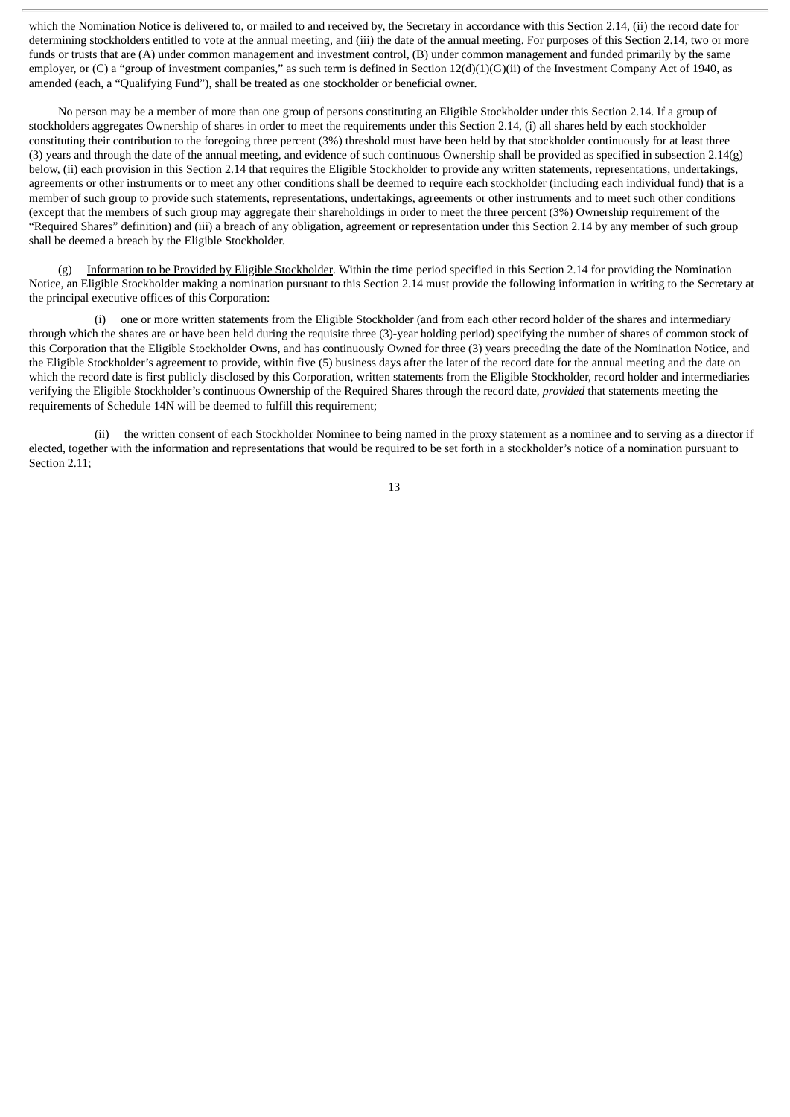which the Nomination Notice is delivered to, or mailed to and received by, the Secretary in accordance with this Section 2.14, (ii) the record date for determining stockholders entitled to vote at the annual meeting, and (iii) the date of the annual meeting. For purposes of this Section 2.14, two or more funds or trusts that are (A) under common management and investment control, (B) under common management and funded primarily by the same employer, or (C) a "group of investment companies," as such term is defined in Section 12(d)(1)(G)(ii) of the Investment Company Act of 1940, as amended (each, a "Qualifying Fund"), shall be treated as one stockholder or beneficial owner.

No person may be a member of more than one group of persons constituting an Eligible Stockholder under this Section 2.14. If a group of stockholders aggregates Ownership of shares in order to meet the requirements under this Section 2.14, (i) all shares held by each stockholder constituting their contribution to the foregoing three percent (3%) threshold must have been held by that stockholder continuously for at least three (3) years and through the date of the annual meeting, and evidence of such continuous Ownership shall be provided as specified in subsection 2.14(g) below, (ii) each provision in this Section 2.14 that requires the Eligible Stockholder to provide any written statements, representations, undertakings, agreements or other instruments or to meet any other conditions shall be deemed to require each stockholder (including each individual fund) that is a member of such group to provide such statements, representations, undertakings, agreements or other instruments and to meet such other conditions (except that the members of such group may aggregate their shareholdings in order to meet the three percent (3%) Ownership requirement of the "Required Shares" definition) and (iii) a breach of any obligation, agreement or representation under this Section 2.14 by any member of such group shall be deemed a breach by the Eligible Stockholder.

(g) Information to be Provided by Eligible Stockholder. Within the time period specified in this Section 2.14 for providing the Nomination Notice, an Eligible Stockholder making a nomination pursuant to this Section 2.14 must provide the following information in writing to the Secretary at the principal executive offices of this Corporation:

one or more written statements from the Eligible Stockholder (and from each other record holder of the shares and intermediary through which the shares are or have been held during the requisite three (3)-year holding period) specifying the number of shares of common stock of this Corporation that the Eligible Stockholder Owns, and has continuously Owned for three (3) years preceding the date of the Nomination Notice, and the Eligible Stockholder's agreement to provide, within five (5) business days after the later of the record date for the annual meeting and the date on which the record date is first publicly disclosed by this Corporation, written statements from the Eligible Stockholder, record holder and intermediaries verifying the Eligible Stockholder's continuous Ownership of the Required Shares through the record date, *provided* that statements meeting the requirements of Schedule 14N will be deemed to fulfill this requirement;

(ii) the written consent of each Stockholder Nominee to being named in the proxy statement as a nominee and to serving as a director if elected, together with the information and representations that would be required to be set forth in a stockholder's notice of a nomination pursuant to Section 2.11: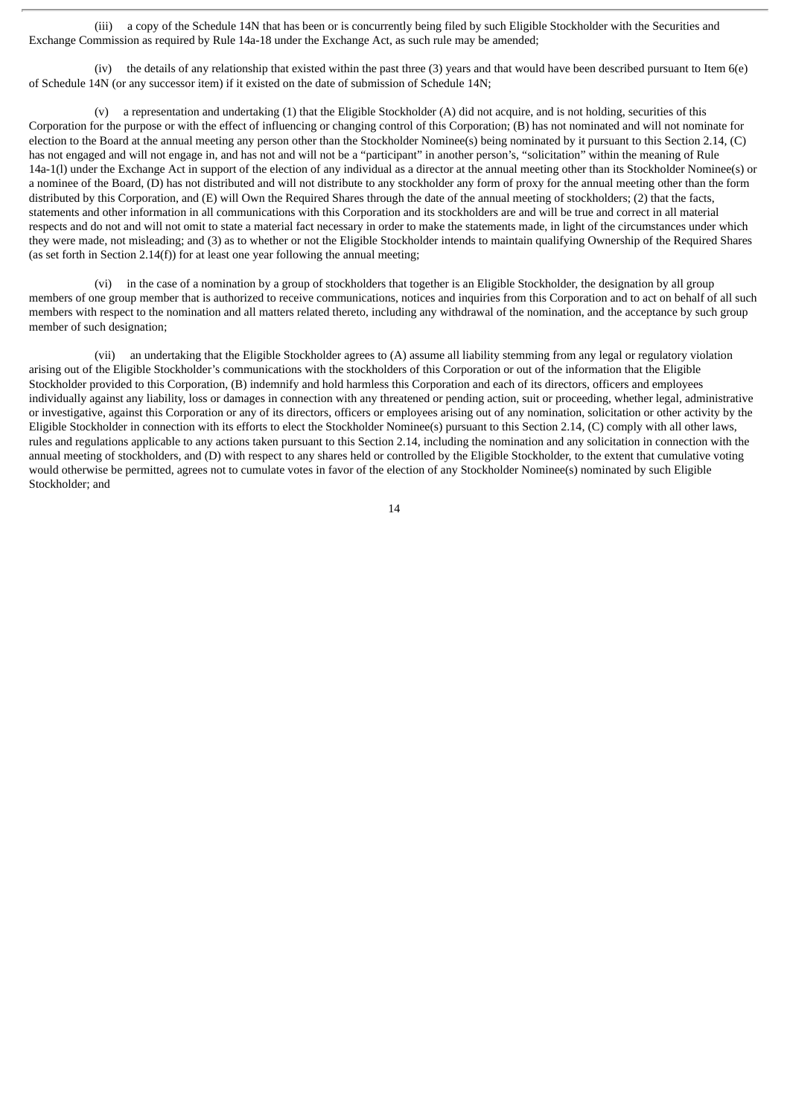(iii) a copy of the Schedule 14N that has been or is concurrently being filed by such Eligible Stockholder with the Securities and Exchange Commission as required by Rule 14a-18 under the Exchange Act, as such rule may be amended;

(iv) the details of any relationship that existed within the past three (3) years and that would have been described pursuant to Item 6(e) of Schedule 14N (or any successor item) if it existed on the date of submission of Schedule 14N;

(v) a representation and undertaking (1) that the Eligible Stockholder (A) did not acquire, and is not holding, securities of this Corporation for the purpose or with the effect of influencing or changing control of this Corporation; (B) has not nominated and will not nominate for election to the Board at the annual meeting any person other than the Stockholder Nominee(s) being nominated by it pursuant to this Section 2.14, (C) has not engaged and will not engage in, and has not and will not be a "participant" in another person's, "solicitation" within the meaning of Rule 14a-1(l) under the Exchange Act in support of the election of any individual as a director at the annual meeting other than its Stockholder Nominee(s) or a nominee of the Board, (D) has not distributed and will not distribute to any stockholder any form of proxy for the annual meeting other than the form distributed by this Corporation, and (E) will Own the Required Shares through the date of the annual meeting of stockholders; (2) that the facts, statements and other information in all communications with this Corporation and its stockholders are and will be true and correct in all material respects and do not and will not omit to state a material fact necessary in order to make the statements made, in light of the circumstances under which they were made, not misleading; and (3) as to whether or not the Eligible Stockholder intends to maintain qualifying Ownership of the Required Shares (as set forth in Section 2.14(f)) for at least one year following the annual meeting;

(vi) in the case of a nomination by a group of stockholders that together is an Eligible Stockholder, the designation by all group members of one group member that is authorized to receive communications, notices and inquiries from this Corporation and to act on behalf of all such members with respect to the nomination and all matters related thereto, including any withdrawal of the nomination, and the acceptance by such group member of such designation;

(vii) an undertaking that the Eligible Stockholder agrees to (A) assume all liability stemming from any legal or regulatory violation arising out of the Eligible Stockholder's communications with the stockholders of this Corporation or out of the information that the Eligible Stockholder provided to this Corporation, (B) indemnify and hold harmless this Corporation and each of its directors, officers and employees individually against any liability, loss or damages in connection with any threatened or pending action, suit or proceeding, whether legal, administrative or investigative, against this Corporation or any of its directors, officers or employees arising out of any nomination, solicitation or other activity by the Eligible Stockholder in connection with its efforts to elect the Stockholder Nominee(s) pursuant to this Section 2.14, (C) comply with all other laws, rules and regulations applicable to any actions taken pursuant to this Section 2.14, including the nomination and any solicitation in connection with the annual meeting of stockholders, and (D) with respect to any shares held or controlled by the Eligible Stockholder, to the extent that cumulative voting would otherwise be permitted, agrees not to cumulate votes in favor of the election of any Stockholder Nominee(s) nominated by such Eligible Stockholder; and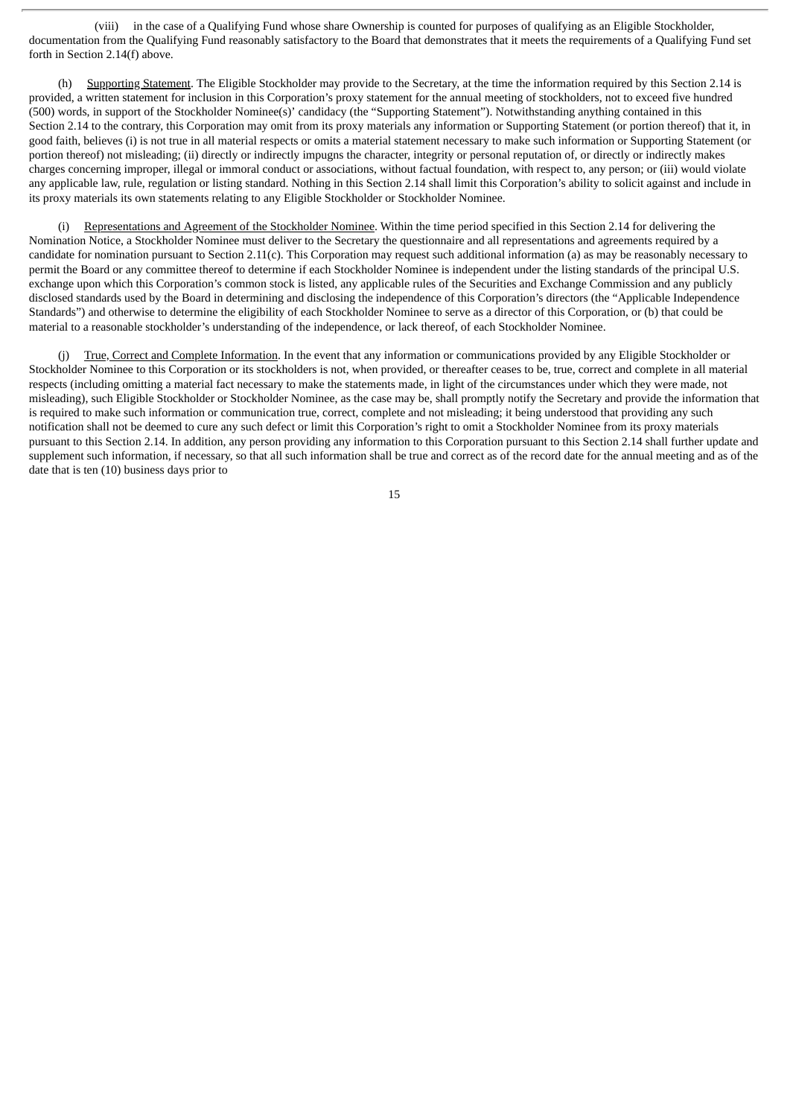(viii) in the case of a Qualifying Fund whose share Ownership is counted for purposes of qualifying as an Eligible Stockholder, documentation from the Qualifying Fund reasonably satisfactory to the Board that demonstrates that it meets the requirements of a Qualifying Fund set forth in Section 2.14(f) above.

(h) Supporting Statement. The Eligible Stockholder may provide to the Secretary, at the time the information required by this Section 2.14 is provided, a written statement for inclusion in this Corporation's proxy statement for the annual meeting of stockholders, not to exceed five hundred (500) words, in support of the Stockholder Nominee(s)' candidacy (the "Supporting Statement"). Notwithstanding anything contained in this Section 2.14 to the contrary, this Corporation may omit from its proxy materials any information or Supporting Statement (or portion thereof) that it, in good faith, believes (i) is not true in all material respects or omits a material statement necessary to make such information or Supporting Statement (or portion thereof) not misleading; (ii) directly or indirectly impugns the character, integrity or personal reputation of, or directly or indirectly makes charges concerning improper, illegal or immoral conduct or associations, without factual foundation, with respect to, any person; or (iii) would violate any applicable law, rule, regulation or listing standard. Nothing in this Section 2.14 shall limit this Corporation's ability to solicit against and include in its proxy materials its own statements relating to any Eligible Stockholder or Stockholder Nominee.

(i) Representations and Agreement of the Stockholder Nominee. Within the time period specified in this Section 2.14 for delivering the Nomination Notice, a Stockholder Nominee must deliver to the Secretary the questionnaire and all representations and agreements required by a candidate for nomination pursuant to Section 2.11(c). This Corporation may request such additional information (a) as may be reasonably necessary to permit the Board or any committee thereof to determine if each Stockholder Nominee is independent under the listing standards of the principal U.S. exchange upon which this Corporation's common stock is listed, any applicable rules of the Securities and Exchange Commission and any publicly disclosed standards used by the Board in determining and disclosing the independence of this Corporation's directors (the "Applicable Independence Standards") and otherwise to determine the eligibility of each Stockholder Nominee to serve as a director of this Corporation, or (b) that could be material to a reasonable stockholder's understanding of the independence, or lack thereof, of each Stockholder Nominee.

True, Correct and Complete Information. In the event that any information or communications provided by any Eligible Stockholder or Stockholder Nominee to this Corporation or its stockholders is not, when provided, or thereafter ceases to be, true, correct and complete in all material respects (including omitting a material fact necessary to make the statements made, in light of the circumstances under which they were made, not misleading), such Eligible Stockholder or Stockholder Nominee, as the case may be, shall promptly notify the Secretary and provide the information that is required to make such information or communication true, correct, complete and not misleading; it being understood that providing any such notification shall not be deemed to cure any such defect or limit this Corporation's right to omit a Stockholder Nominee from its proxy materials pursuant to this Section 2.14. In addition, any person providing any information to this Corporation pursuant to this Section 2.14 shall further update and supplement such information, if necessary, so that all such information shall be true and correct as of the record date for the annual meeting and as of the date that is ten (10) business days prior to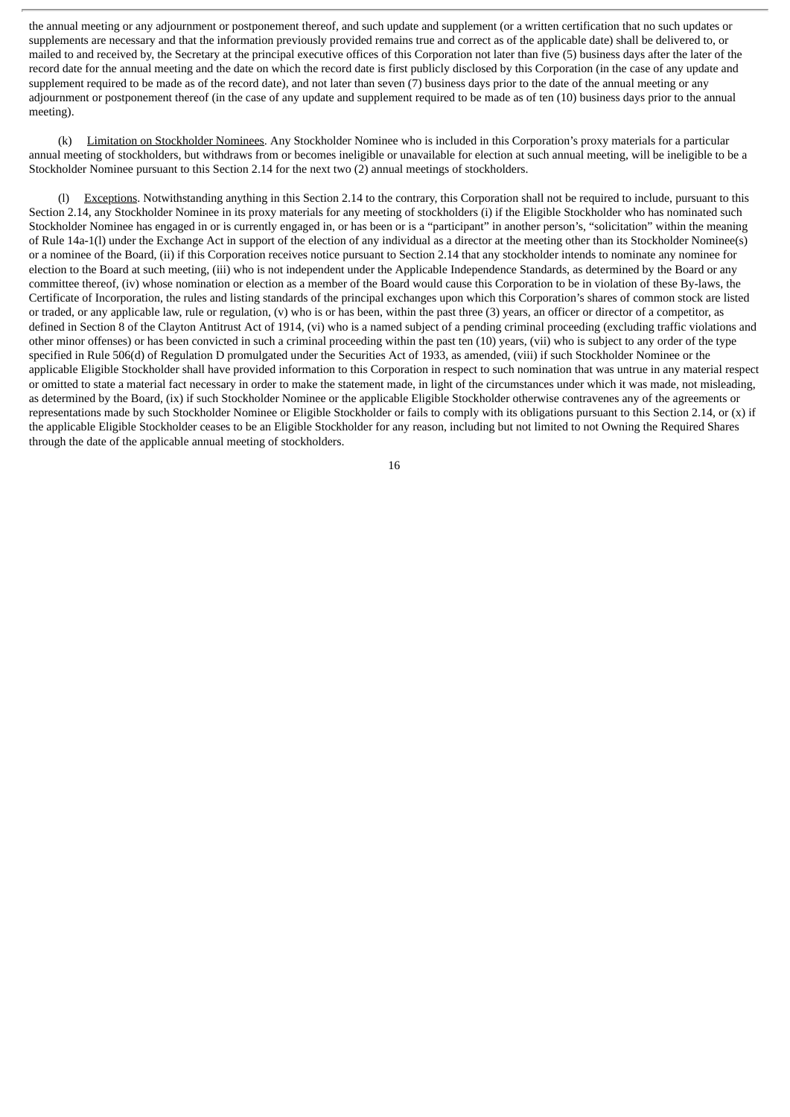the annual meeting or any adjournment or postponement thereof, and such update and supplement (or a written certification that no such updates or supplements are necessary and that the information previously provided remains true and correct as of the applicable date) shall be delivered to, or mailed to and received by, the Secretary at the principal executive offices of this Corporation not later than five (5) business days after the later of the record date for the annual meeting and the date on which the record date is first publicly disclosed by this Corporation (in the case of any update and supplement required to be made as of the record date), and not later than seven (7) business days prior to the date of the annual meeting or any adiournment or postponement thereof (in the case of any update and supplement required to be made as of ten (10) business days prior to the annual meeting).

(k) Limitation on Stockholder Nominees. Any Stockholder Nominee who is included in this Corporation's proxy materials for a particular annual meeting of stockholders, but withdraws from or becomes ineligible or unavailable for election at such annual meeting, will be ineligible to be a Stockholder Nominee pursuant to this Section 2.14 for the next two (2) annual meetings of stockholders.

(l) Exceptions. Notwithstanding anything in this Section 2.14 to the contrary, this Corporation shall not be required to include, pursuant to this Section 2.14, any Stockholder Nominee in its proxy materials for any meeting of stockholders (i) if the Eligible Stockholder who has nominated such Stockholder Nominee has engaged in or is currently engaged in, or has been or is a "participant" in another person's, "solicitation" within the meaning of Rule 14a-1(l) under the Exchange Act in support of the election of any individual as a director at the meeting other than its Stockholder Nominee(s) or a nominee of the Board, (ii) if this Corporation receives notice pursuant to Section 2.14 that any stockholder intends to nominate any nominee for election to the Board at such meeting, (iii) who is not independent under the Applicable Independence Standards, as determined by the Board or any committee thereof, (iv) whose nomination or election as a member of the Board would cause this Corporation to be in violation of these By-laws, the Certificate of Incorporation, the rules and listing standards of the principal exchanges upon which this Corporation's shares of common stock are listed or traded, or any applicable law, rule or regulation, (v) who is or has been, within the past three (3) years, an officer or director of a competitor, as defined in Section 8 of the Clayton Antitrust Act of 1914, (vi) who is a named subject of a pending criminal proceeding (excluding traffic violations and other minor offenses) or has been convicted in such a criminal proceeding within the past ten (10) years, (vii) who is subject to any order of the type specified in Rule 506(d) of Regulation D promulgated under the Securities Act of 1933, as amended, (viii) if such Stockholder Nominee or the applicable Eligible Stockholder shall have provided information to this Corporation in respect to such nomination that was untrue in any material respect or omitted to state a material fact necessary in order to make the statement made, in light of the circumstances under which it was made, not misleading, as determined by the Board, (ix) if such Stockholder Nominee or the applicable Eligible Stockholder otherwise contravenes any of the agreements or representations made by such Stockholder Nominee or Eligible Stockholder or fails to comply with its obligations pursuant to this Section 2.14, or (x) if the applicable Eligible Stockholder ceases to be an Eligible Stockholder for any reason, including but not limited to not Owning the Required Shares through the date of the applicable annual meeting of stockholders.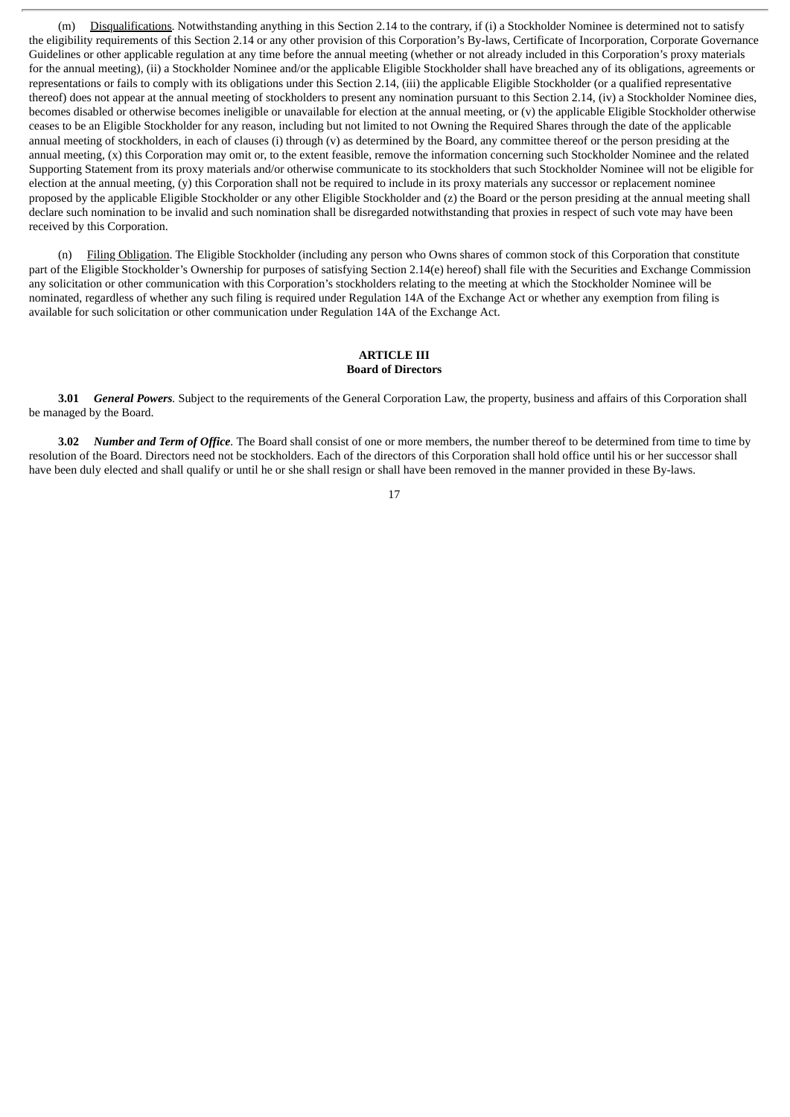(m) Disqualifications. Notwithstanding anything in this Section 2.14 to the contrary, if (i) a Stockholder Nominee is determined not to satisfy the eligibility requirements of this Section 2.14 or any other provision of this Corporation's By-laws, Certificate of Incorporation, Corporate Governance Guidelines or other applicable regulation at any time before the annual meeting (whether or not already included in this Corporation's proxy materials for the annual meeting), (ii) a Stockholder Nominee and/or the applicable Eligible Stockholder shall have breached any of its obligations, agreements or representations or fails to comply with its obligations under this Section 2.14, (iii) the applicable Eligible Stockholder (or a qualified representative thereof) does not appear at the annual meeting of stockholders to present any nomination pursuant to this Section 2.14, (iv) a Stockholder Nominee dies, becomes disabled or otherwise becomes ineligible or unavailable for election at the annual meeting, or (v) the applicable Eligible Stockholder otherwise ceases to be an Eligible Stockholder for any reason, including but not limited to not Owning the Required Shares through the date of the applicable annual meeting of stockholders, in each of clauses (i) through (v) as determined by the Board, any committee thereof or the person presiding at the annual meeting, (x) this Corporation may omit or, to the extent feasible, remove the information concerning such Stockholder Nominee and the related Supporting Statement from its proxy materials and/or otherwise communicate to its stockholders that such Stockholder Nominee will not be eligible for election at the annual meeting, (y) this Corporation shall not be required to include in its proxy materials any successor or replacement nominee proposed by the applicable Eligible Stockholder or any other Eligible Stockholder and (z) the Board or the person presiding at the annual meeting shall declare such nomination to be invalid and such nomination shall be disregarded notwithstanding that proxies in respect of such vote may have been received by this Corporation.

(n) Filing Obligation. The Eligible Stockholder (including any person who Owns shares of common stock of this Corporation that constitute part of the Eligible Stockholder's Ownership for purposes of satisfying Section 2.14(e) hereof) shall file with the Securities and Exchange Commission any solicitation or other communication with this Corporation's stockholders relating to the meeting at which the Stockholder Nominee will be nominated, regardless of whether any such filing is required under Regulation 14A of the Exchange Act or whether any exemption from filing is available for such solicitation or other communication under Regulation 14A of the Exchange Act.

#### **ARTICLE III Board of Directors**

**3.01** *General Powers.* Subject to the requirements of the General Corporation Law, the property, business and affairs of this Corporation shall be managed by the Board.

**3.02** *Number and Term of Office.* The Board shall consist of one or more members, the number thereof to be determined from time to time by resolution of the Board. Directors need not be stockholders. Each of the directors of this Corporation shall hold office until his or her successor shall have been duly elected and shall qualify or until he or she shall resign or shall have been removed in the manner provided in these By-laws.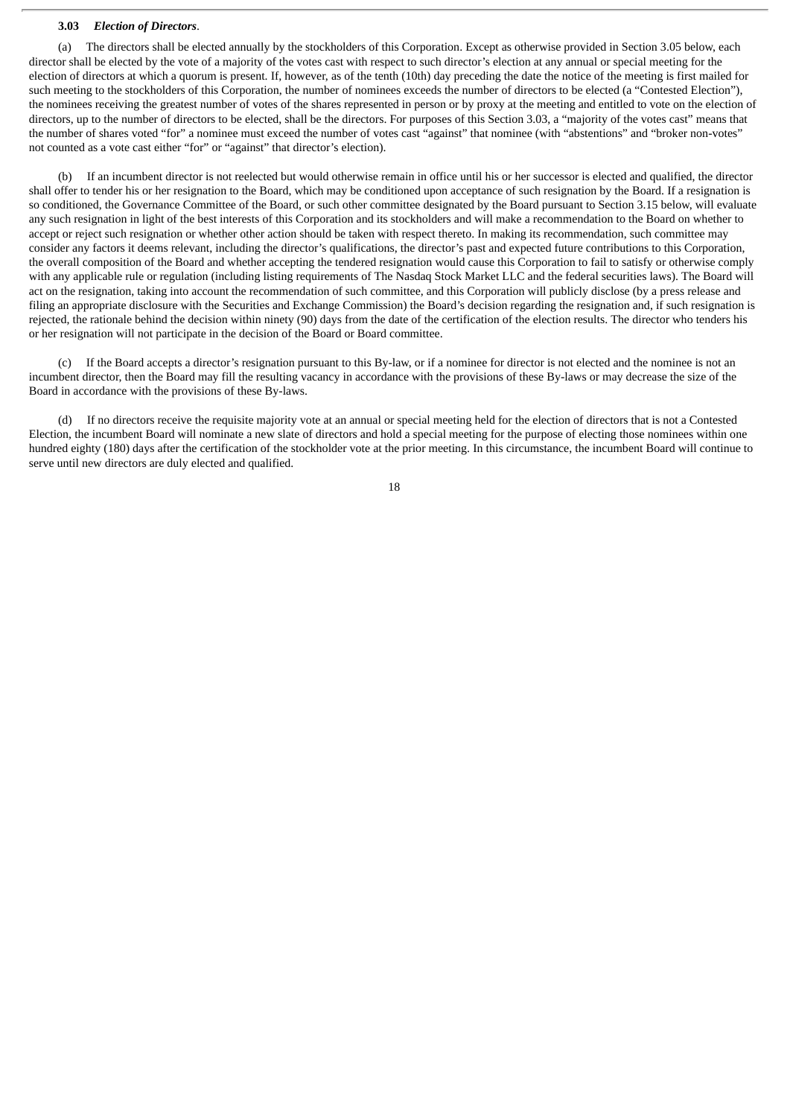#### **3.03** *Election of Directors*.

(a) The directors shall be elected annually by the stockholders of this Corporation. Except as otherwise provided in Section 3.05 below, each director shall be elected by the vote of a majority of the votes cast with respect to such director's election at any annual or special meeting for the election of directors at which a quorum is present. If, however, as of the tenth (10th) day preceding the date the notice of the meeting is first mailed for such meeting to the stockholders of this Corporation, the number of nominees exceeds the number of directors to be elected (a "Contested Election"), the nominees receiving the greatest number of votes of the shares represented in person or by proxy at the meeting and entitled to vote on the election of directors, up to the number of directors to be elected, shall be the directors. For purposes of this Section 3.03, a "majority of the votes cast" means that the number of shares voted "for" a nominee must exceed the number of votes cast "against" that nominee (with "abstentions" and "broker non-votes" not counted as a vote cast either "for" or "against" that director's election).

(b) If an incumbent director is not reelected but would otherwise remain in office until his or her successor is elected and qualified, the director shall offer to tender his or her resignation to the Board, which may be conditioned upon acceptance of such resignation by the Board. If a resignation is so conditioned, the Governance Committee of the Board, or such other committee designated by the Board pursuant to Section 3.15 below, will evaluate any such resignation in light of the best interests of this Corporation and its stockholders and will make a recommendation to the Board on whether to accept or reject such resignation or whether other action should be taken with respect thereto. In making its recommendation, such committee may consider any factors it deems relevant, including the director's qualifications, the director's past and expected future contributions to this Corporation, the overall composition of the Board and whether accepting the tendered resignation would cause this Corporation to fail to satisfy or otherwise comply with any applicable rule or regulation (including listing requirements of The Nasdaq Stock Market LLC and the federal securities laws). The Board will act on the resignation, taking into account the recommendation of such committee, and this Corporation will publicly disclose (by a press release and filing an appropriate disclosure with the Securities and Exchange Commission) the Board's decision regarding the resignation and, if such resignation is rejected, the rationale behind the decision within ninety (90) days from the date of the certification of the election results. The director who tenders his or her resignation will not participate in the decision of the Board or Board committee.

(c) If the Board accepts a director's resignation pursuant to this By-law, or if a nominee for director is not elected and the nominee is not an incumbent director, then the Board may fill the resulting vacancy in accordance with the provisions of these By-laws or may decrease the size of the Board in accordance with the provisions of these By-laws.

(d) If no directors receive the requisite majority vote at an annual or special meeting held for the election of directors that is not a Contested Election, the incumbent Board will nominate a new slate of directors and hold a special meeting for the purpose of electing those nominees within one hundred eighty (180) days after the certification of the stockholder vote at the prior meeting. In this circumstance, the incumbent Board will continue to serve until new directors are duly elected and qualified.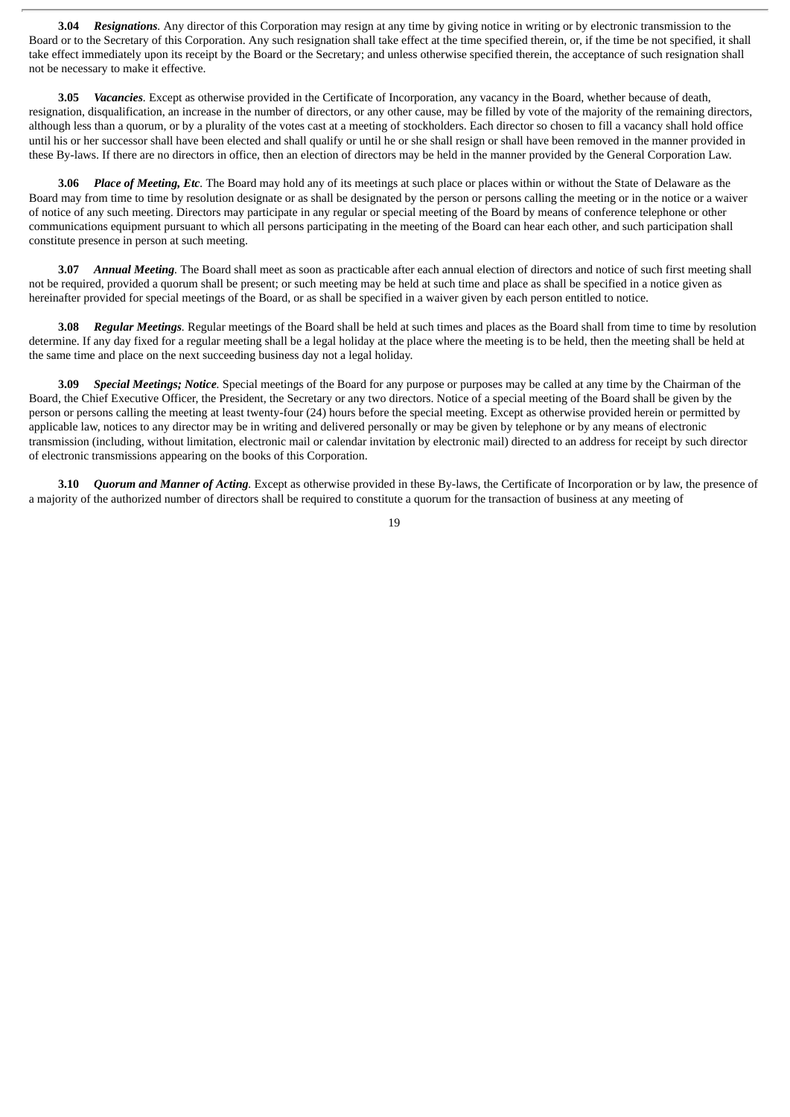**3.04** *Resignations.* Any director of this Corporation may resign at any time by giving notice in writing or by electronic transmission to the Board or to the Secretary of this Corporation. Any such resignation shall take effect at the time specified therein, or, if the time be not specified, it shall take effect immediately upon its receipt by the Board or the Secretary; and unless otherwise specified therein, the acceptance of such resignation shall not be necessary to make it effective.

**3.05** *Vacancies.* Except as otherwise provided in the Certificate of Incorporation, any vacancy in the Board, whether because of death, resignation, disqualification, an increase in the number of directors, or any other cause, may be filled by vote of the majority of the remaining directors, although less than a quorum, or by a plurality of the votes cast at a meeting of stockholders. Each director so chosen to fill a vacancy shall hold office until his or her successor shall have been elected and shall qualify or until he or she shall resign or shall have been removed in the manner provided in these By-laws. If there are no directors in office, then an election of directors may be held in the manner provided by the General Corporation Law.

**3.06** *Place of Meeting, Etc.* The Board may hold any of its meetings at such place or places within or without the State of Delaware as the Board may from time to time by resolution designate or as shall be designated by the person or persons calling the meeting or in the notice or a waiver of notice of any such meeting. Directors may participate in any regular or special meeting of the Board by means of conference telephone or other communications equipment pursuant to which all persons participating in the meeting of the Board can hear each other, and such participation shall constitute presence in person at such meeting.

**3.07** *Annual Meeting.* The Board shall meet as soon as practicable after each annual election of directors and notice of such first meeting shall not be required, provided a quorum shall be present; or such meeting may be held at such time and place as shall be specified in a notice given as hereinafter provided for special meetings of the Board, or as shall be specified in a waiver given by each person entitled to notice.

**3.08** *Regular Meetings.* Regular meetings of the Board shall be held at such times and places as the Board shall from time to time by resolution determine. If any day fixed for a regular meeting shall be a legal holiday at the place where the meeting is to be held, then the meeting shall be held at the same time and place on the next succeeding business day not a legal holiday.

**3.09** *Special Meetings; Notice.* Special meetings of the Board for any purpose or purposes may be called at any time by the Chairman of the Board, the Chief Executive Officer, the President, the Secretary or any two directors. Notice of a special meeting of the Board shall be given by the person or persons calling the meeting at least twenty-four (24) hours before the special meeting. Except as otherwise provided herein or permitted by applicable law, notices to any director may be in writing and delivered personally or may be given by telephone or by any means of electronic transmission (including, without limitation, electronic mail or calendar invitation by electronic mail) directed to an address for receipt by such director of electronic transmissions appearing on the books of this Corporation.

**3.10** *Quorum and Manner of Acting.* Except as otherwise provided in these By-laws, the Certificate of Incorporation or by law, the presence of a majority of the authorized number of directors shall be required to constitute a quorum for the transaction of business at any meeting of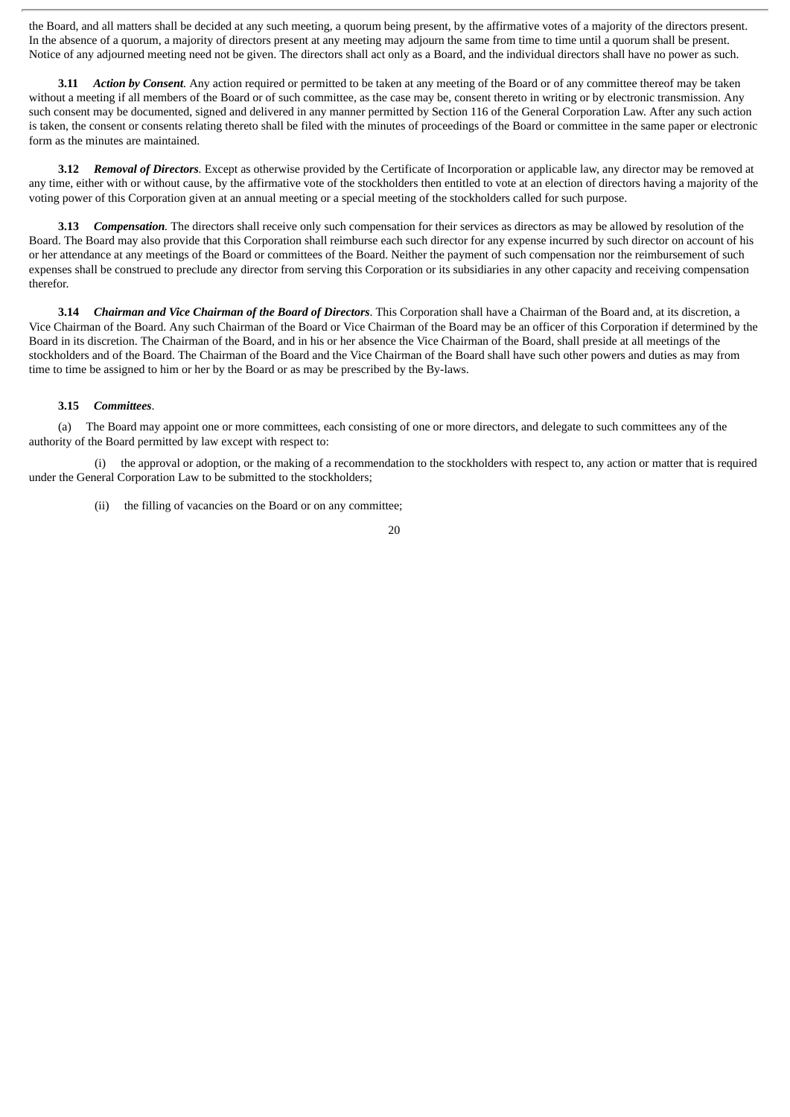the Board, and all matters shall be decided at any such meeting, a quorum being present, by the affirmative votes of a majority of the directors present. In the absence of a quorum, a majority of directors present at any meeting may adjourn the same from time to time until a quorum shall be present. Notice of any adjourned meeting need not be given. The directors shall act only as a Board, and the individual directors shall have no power as such.

**3.11** *Action by Consent.* Any action required or permitted to be taken at any meeting of the Board or of any committee thereof may be taken without a meeting if all members of the Board or of such committee, as the case may be, consent thereto in writing or by electronic transmission. Any such consent may be documented, signed and delivered in any manner permitted by Section 116 of the General Corporation Law. After any such action is taken, the consent or consents relating thereto shall be filed with the minutes of proceedings of the Board or committee in the same paper or electronic form as the minutes are maintained.

**3.12** *Removal of Directors.* Except as otherwise provided by the Certificate of Incorporation or applicable law, any director may be removed at any time, either with or without cause, by the affirmative vote of the stockholders then entitled to vote at an election of directors having a majority of the voting power of this Corporation given at an annual meeting or a special meeting of the stockholders called for such purpose.

**3.13** *Compensation.* The directors shall receive only such compensation for their services as directors as may be allowed by resolution of the Board. The Board may also provide that this Corporation shall reimburse each such director for any expense incurred by such director on account of his or her attendance at any meetings of the Board or committees of the Board. Neither the payment of such compensation nor the reimbursement of such expenses shall be construed to preclude any director from serving this Corporation or its subsidiaries in any other capacity and receiving compensation therefor.

**3.14** *Chairman and Vice Chairman of the Board of Directors*. This Corporation shall have a Chairman of the Board and, at its discretion, a Vice Chairman of the Board. Any such Chairman of the Board or Vice Chairman of the Board may be an officer of this Corporation if determined by the Board in its discretion. The Chairman of the Board, and in his or her absence the Vice Chairman of the Board, shall preside at all meetings of the stockholders and of the Board. The Chairman of the Board and the Vice Chairman of the Board shall have such other powers and duties as may from time to time be assigned to him or her by the Board or as may be prescribed by the By-laws.

#### **3.15** *Committees*.

(a) The Board may appoint one or more committees, each consisting of one or more directors, and delegate to such committees any of the authority of the Board permitted by law except with respect to:

(i) the approval or adoption, or the making of a recommendation to the stockholders with respect to, any action or matter that is required under the General Corporation Law to be submitted to the stockholders;

(ii) the filling of vacancies on the Board or on any committee;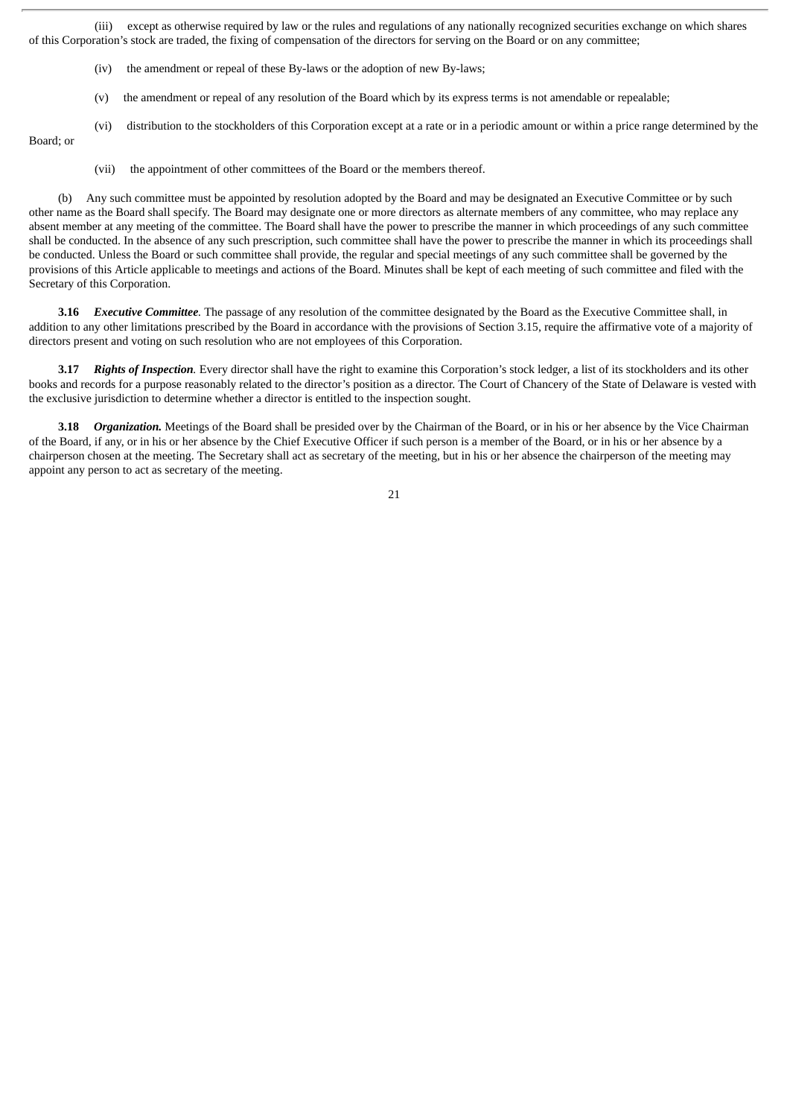(iii) except as otherwise required by law or the rules and regulations of any nationally recognized securities exchange on which shares of this Corporation's stock are traded, the fixing of compensation of the directors for serving on the Board or on any committee;

- (iv) the amendment or repeal of these By-laws or the adoption of new By-laws;
- (v) the amendment or repeal of any resolution of the Board which by its express terms is not amendable or repealable;
- (vi) distribution to the stockholders of this Corporation except at a rate or in a periodic amount or within a price range determined by the

Board; or

(vii) the appointment of other committees of the Board or the members thereof.

(b) Any such committee must be appointed by resolution adopted by the Board and may be designated an Executive Committee or by such other name as the Board shall specify. The Board may designate one or more directors as alternate members of any committee, who may replace any absent member at any meeting of the committee. The Board shall have the power to prescribe the manner in which proceedings of any such committee shall be conducted. In the absence of any such prescription, such committee shall have the power to prescribe the manner in which its proceedings shall be conducted. Unless the Board or such committee shall provide, the regular and special meetings of any such committee shall be governed by the provisions of this Article applicable to meetings and actions of the Board. Minutes shall be kept of each meeting of such committee and filed with the Secretary of this Corporation.

**3.16** *Executive Committee.* The passage of any resolution of the committee designated by the Board as the Executive Committee shall, in addition to any other limitations prescribed by the Board in accordance with the provisions of Section 3.15, require the affirmative vote of a majority of directors present and voting on such resolution who are not employees of this Corporation.

**3.17** *Rights of Inspection.* Every director shall have the right to examine this Corporation's stock ledger, a list of its stockholders and its other books and records for a purpose reasonably related to the director's position as a director. The Court of Chancery of the State of Delaware is vested with the exclusive jurisdiction to determine whether a director is entitled to the inspection sought.

**3.18** *Organization.* Meetings of the Board shall be presided over by the Chairman of the Board, or in his or her absence by the Vice Chairman of the Board, if any, or in his or her absence by the Chief Executive Officer if such person is a member of the Board, or in his or her absence by a chairperson chosen at the meeting. The Secretary shall act as secretary of the meeting, but in his or her absence the chairperson of the meeting may appoint any person to act as secretary of the meeting.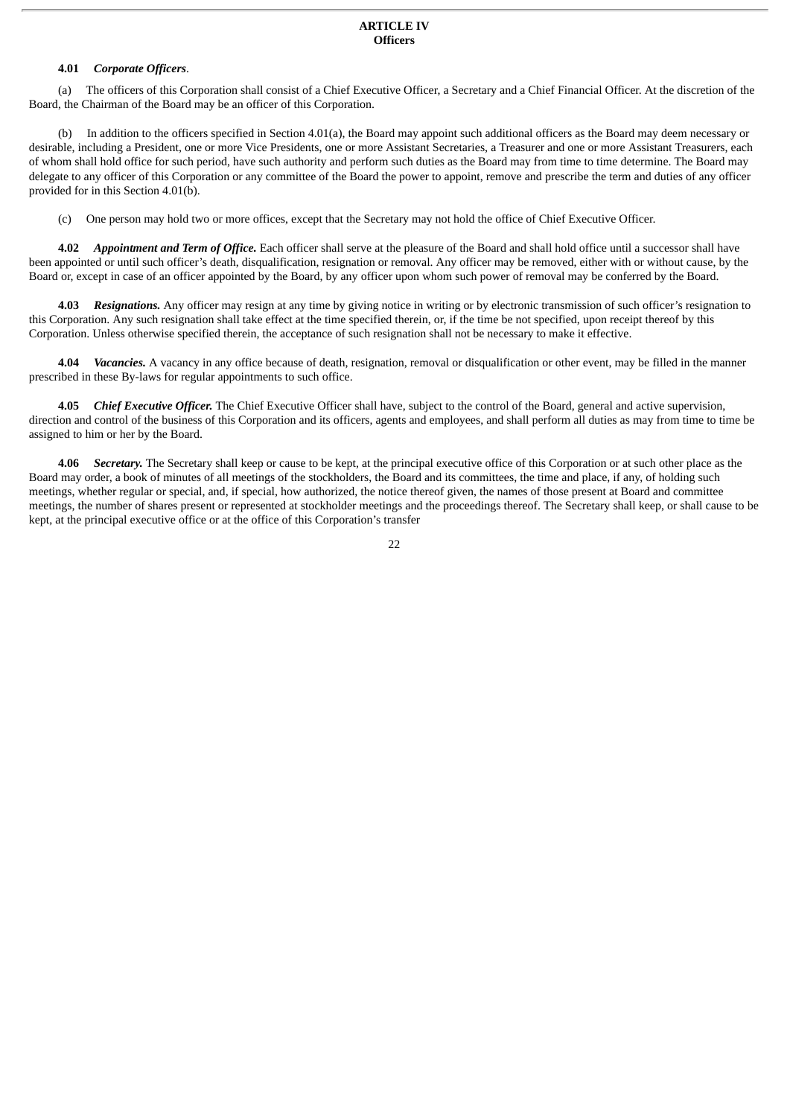#### **ARTICLE IV Officers**

#### **4.01** *Corporate Officers*.

(a) The officers of this Corporation shall consist of a Chief Executive Officer, a Secretary and a Chief Financial Officer. At the discretion of the Board, the Chairman of the Board may be an officer of this Corporation.

(b) In addition to the officers specified in Section 4.01(a), the Board may appoint such additional officers as the Board may deem necessary or desirable, including a President, one or more Vice Presidents, one or more Assistant Secretaries, a Treasurer and one or more Assistant Treasurers, each of whom shall hold office for such period, have such authority and perform such duties as the Board may from time to time determine. The Board may delegate to any officer of this Corporation or any committee of the Board the power to appoint, remove and prescribe the term and duties of any officer provided for in this Section 4.01(b).

(c) One person may hold two or more offices, except that the Secretary may not hold the office of Chief Executive Officer.

**4.02** *Appointment and Term of Office.* Each officer shall serve at the pleasure of the Board and shall hold office until a successor shall have been appointed or until such officer's death, disqualification, resignation or removal. Any officer may be removed, either with or without cause, by the Board or, except in case of an officer appointed by the Board, by any officer upon whom such power of removal may be conferred by the Board.

**4.03** *Resignations.* Any officer may resign at any time by giving notice in writing or by electronic transmission of such officer's resignation to this Corporation. Any such resignation shall take effect at the time specified therein, or, if the time be not specified, upon receipt thereof by this Corporation. Unless otherwise specified therein, the acceptance of such resignation shall not be necessary to make it effective.

**4.04** *Vacancies.* A vacancy in any office because of death, resignation, removal or disqualification or other event, may be filled in the manner prescribed in these By-laws for regular appointments to such office.

**4.05** *Chief Executive Officer.* The Chief Executive Officer shall have, subject to the control of the Board, general and active supervision, direction and control of the business of this Corporation and its officers, agents and employees, and shall perform all duties as may from time to time be assigned to him or her by the Board.

**4.06** *Secretary.* The Secretary shall keep or cause to be kept, at the principal executive office of this Corporation or at such other place as the Board may order, a book of minutes of all meetings of the stockholders, the Board and its committees, the time and place, if any, of holding such meetings, whether regular or special, and, if special, how authorized, the notice thereof given, the names of those present at Board and committee meetings, the number of shares present or represented at stockholder meetings and the proceedings thereof. The Secretary shall keep, or shall cause to be kept, at the principal executive office or at the office of this Corporation's transfer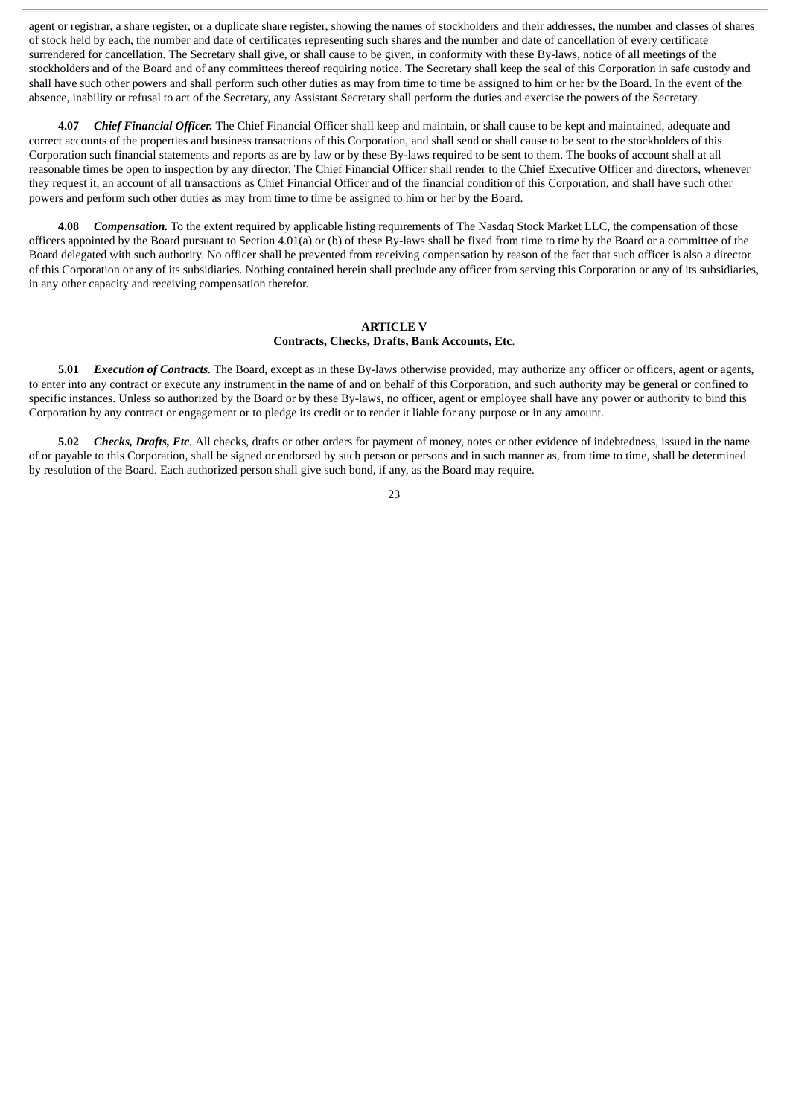agent or registrar, a share register, or a duplicate share register, showing the names of stockholders and their addresses, the number and classes of shares of stock held by each, the number and date of certificates representing such shares and the number and date of cancellation of every certificate surrendered for cancellation. The Secretary shall give, or shall cause to be given, in conformity with these By-laws, notice of all meetings of the stockholders and of the Board and of any committees thereof requiring notice. The Secretary shall keep the seal of this Corporation in safe custody and shall have such other powers and shall perform such other duties as may from time to time be assigned to him or her by the Board. In the event of the absence, inability or refusal to act of the Secretary, any Assistant Secretary shall perform the duties and exercise the powers of the Secretary.

**4.07** *Chief Financial Officer.* The Chief Financial Officer shall keep and maintain, or shall cause to be kept and maintained, adequate and correct accounts of the properties and business transactions of this Corporation, and shall send or shall cause to be sent to the stockholders of this Corporation such financial statements and reports as are by law or by these By-laws required to be sent to them. The books of account shall at all reasonable times be open to inspection by any director. The Chief Financial Officer shall render to the Chief Executive Officer and directors, whenever they request it, an account of all transactions as Chief Financial Officer and of the financial condition of this Corporation, and shall have such other powers and perform such other duties as may from time to time be assigned to him or her by the Board.

**4.08** *Compensation.* To the extent required by applicable listing requirements of The Nasdaq Stock Market LLC, the compensation of those officers appointed by the Board pursuant to Section 4.01(a) or (b) of these By-laws shall be fixed from time to time by the Board or a committee of the Board delegated with such authority. No officer shall be prevented from receiving compensation by reason of the fact that such officer is also a director of this Corporation or any of its subsidiaries. Nothing contained herein shall preclude any officer from serving this Corporation or any of its subsidiaries, in any other capacity and receiving compensation therefor.

#### **ARTICLE V Contracts, Checks, Drafts, Bank Accounts, Etc**.

**5.01** *Execution of Contracts.* The Board, except as in these By-laws otherwise provided, may authorize any officer or officers, agent or agents, to enter into any contract or execute any instrument in the name of and on behalf of this Corporation, and such authority may be general or confined to specific instances. Unless so authorized by the Board or by these By-laws, no officer, agent or employee shall have any power or authority to bind this Corporation by any contract or engagement or to pledge its credit or to render it liable for any purpose or in any amount.

**5.02** *Checks, Drafts, Etc.* All checks, drafts or other orders for payment of money, notes or other evidence of indebtedness, issued in the name of or payable to this Corporation, shall be signed or endorsed by such person or persons and in such manner as, from time to time, shall be determined by resolution of the Board. Each authorized person shall give such bond, if any, as the Board may require.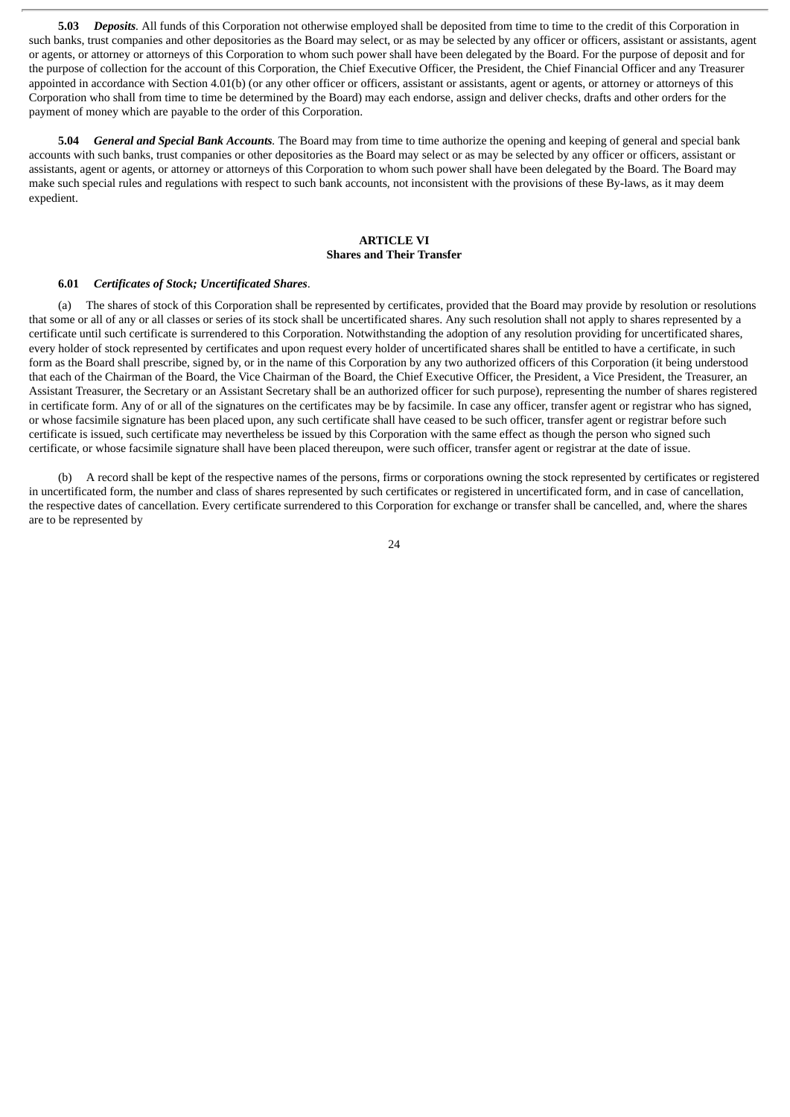**5.03** *Deposits.* All funds of this Corporation not otherwise employed shall be deposited from time to time to the credit of this Corporation in such banks, trust companies and other depositories as the Board may select, or as may be selected by any officer or officers, assistant or assistants, agent or agents, or attorney or attorneys of this Corporation to whom such power shall have been delegated by the Board. For the purpose of deposit and for the purpose of collection for the account of this Corporation, the Chief Executive Officer, the President, the Chief Financial Officer and any Treasurer appointed in accordance with Section 4.01(b) (or any other officer or officers, assistant or assistants, agent or agents, or attorney or attorneys of this Corporation who shall from time to time be determined by the Board) may each endorse, assign and deliver checks, drafts and other orders for the payment of money which are payable to the order of this Corporation.

**5.04** *General and Special Bank Accounts.* The Board may from time to time authorize the opening and keeping of general and special bank accounts with such banks, trust companies or other depositories as the Board may select or as may be selected by any officer or officers, assistant or assistants, agent or agents, or attorney or attorneys of this Corporation to whom such power shall have been delegated by the Board. The Board may make such special rules and regulations with respect to such bank accounts, not inconsistent with the provisions of these By-laws, as it may deem expedient.

#### **ARTICLE VI Shares and Their Transfer**

#### **6.01** *Certificates of Stock; Uncertificated Shares*.

(a) The shares of stock of this Corporation shall be represented by certificates, provided that the Board may provide by resolution or resolutions that some or all of any or all classes or series of its stock shall be uncertificated shares. Any such resolution shall not apply to shares represented by a certificate until such certificate is surrendered to this Corporation. Notwithstanding the adoption of any resolution providing for uncertificated shares, every holder of stock represented by certificates and upon request every holder of uncertificated shares shall be entitled to have a certificate, in such form as the Board shall prescribe, signed by, or in the name of this Corporation by any two authorized officers of this Corporation (it being understood that each of the Chairman of the Board, the Vice Chairman of the Board, the Chief Executive Officer, the President, a Vice President, the Treasurer, an Assistant Treasurer, the Secretary or an Assistant Secretary shall be an authorized officer for such purpose), representing the number of shares registered in certificate form. Any of or all of the signatures on the certificates may be by facsimile. In case any officer, transfer agent or registrar who has signed, or whose facsimile signature has been placed upon, any such certificate shall have ceased to be such officer, transfer agent or registrar before such certificate is issued, such certificate may nevertheless be issued by this Corporation with the same effect as though the person who signed such certificate, or whose facsimile signature shall have been placed thereupon, were such officer, transfer agent or registrar at the date of issue.

(b) A record shall be kept of the respective names of the persons, firms or corporations owning the stock represented by certificates or registered in uncertificated form, the number and class of shares represented by such certificates or registered in uncertificated form, and in case of cancellation, the respective dates of cancellation. Every certificate surrendered to this Corporation for exchange or transfer shall be cancelled, and, where the shares are to be represented by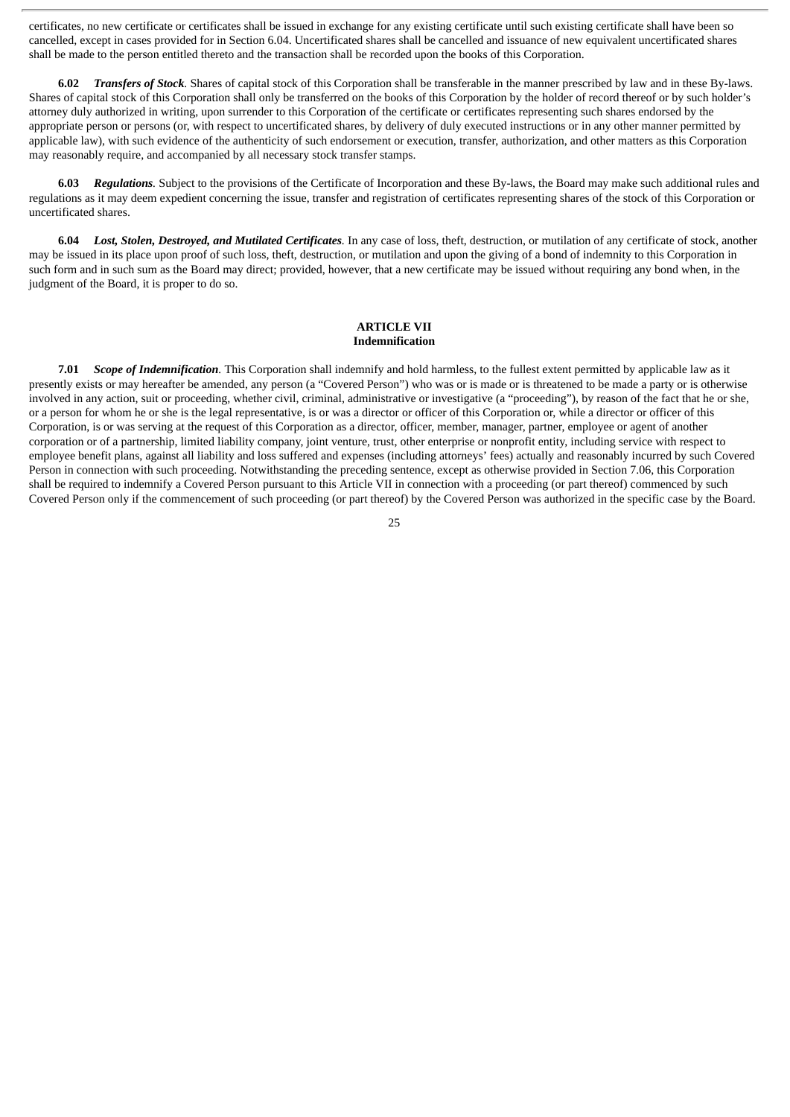certificates, no new certificate or certificates shall be issued in exchange for any existing certificate until such existing certificate shall have been so cancelled, except in cases provided for in Section 6.04. Uncertificated shares shall be cancelled and issuance of new equivalent uncertificated shares shall be made to the person entitled thereto and the transaction shall be recorded upon the books of this Corporation.

**6.02** *Transfers of Stock.* Shares of capital stock of this Corporation shall be transferable in the manner prescribed by law and in these By-laws. Shares of capital stock of this Corporation shall only be transferred on the books of this Corporation by the holder of record thereof or by such holder's attorney duly authorized in writing, upon surrender to this Corporation of the certificate or certificates representing such shares endorsed by the appropriate person or persons (or, with respect to uncertificated shares, by delivery of duly executed instructions or in any other manner permitted by applicable law), with such evidence of the authenticity of such endorsement or execution, transfer, authorization, and other matters as this Corporation may reasonably require, and accompanied by all necessary stock transfer stamps.

**6.03** *Regulations.* Subject to the provisions of the Certificate of Incorporation and these By-laws, the Board may make such additional rules and regulations as it may deem expedient concerning the issue, transfer and registration of certificates representing shares of the stock of this Corporation or uncertificated shares.

**6.04** *Lost, Stolen, Destroyed, and Mutilated Certificates.* In any case of loss, theft, destruction, or mutilation of any certificate of stock, another may be issued in its place upon proof of such loss, theft, destruction, or mutilation and upon the giving of a bond of indemnity to this Corporation in such form and in such sum as the Board may direct; provided, however, that a new certificate may be issued without requiring any bond when, in the judgment of the Board, it is proper to do so.

#### **ARTICLE VII Indemnification**

**7.01** *Scope of Indemnification.* This Corporation shall indemnify and hold harmless, to the fullest extent permitted by applicable law as it presently exists or may hereafter be amended, any person (a "Covered Person") who was or is made or is threatened to be made a party or is otherwise involved in any action, suit or proceeding, whether civil, criminal, administrative or investigative (a "proceeding"), by reason of the fact that he or she, or a person for whom he or she is the legal representative, is or was a director or officer of this Corporation or, while a director or officer of this Corporation, is or was serving at the request of this Corporation as a director, officer, member, manager, partner, employee or agent of another corporation or of a partnership, limited liability company, joint venture, trust, other enterprise or nonprofit entity, including service with respect to employee benefit plans, against all liability and loss suffered and expenses (including attorneys' fees) actually and reasonably incurred by such Covered Person in connection with such proceeding. Notwithstanding the preceding sentence, except as otherwise provided in Section 7.06, this Corporation shall be required to indemnify a Covered Person pursuant to this Article VII in connection with a proceeding (or part thereof) commenced by such Covered Person only if the commencement of such proceeding (or part thereof) by the Covered Person was authorized in the specific case by the Board.

<sup>25</sup>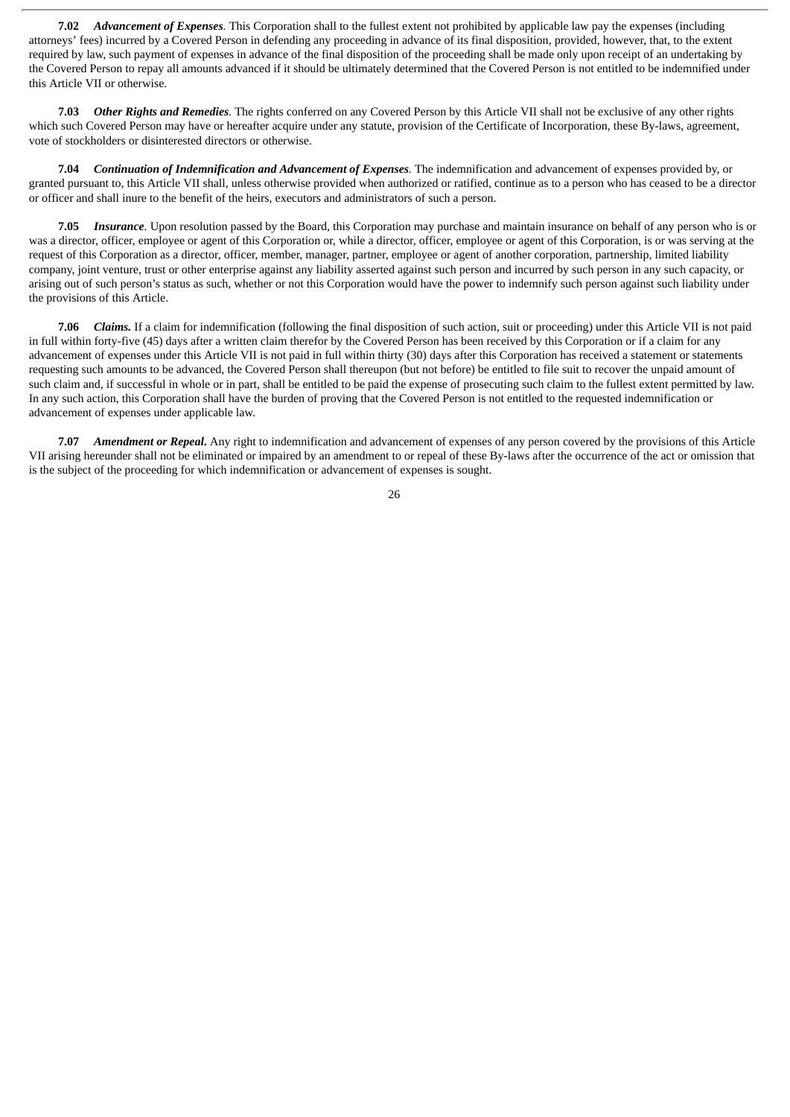**7.02** *Advancement of Expenses.* This Corporation shall to the fullest extent not prohibited by applicable law pay the expenses (including attorneys' fees) incurred by a Covered Person in defending any proceeding in advance of its final disposition, provided, however, that, to the extent required by law, such payment of expenses in advance of the final disposition of the proceeding shall be made only upon receipt of an undertaking by the Covered Person to repay all amounts advanced if it should be ultimately determined that the Covered Person is not entitled to be indemnified under this Article VII or otherwise.

**7.03** *Other Rights and Remedies.* The rights conferred on any Covered Person by this Article VII shall not be exclusive of any other rights which such Covered Person may have or hereafter acquire under any statute, provision of the Certificate of Incorporation, these By-laws, agreement, vote of stockholders or disinterested directors or otherwise.

**7.04** *Continuation of Indemnification and Advancement of Expenses.* The indemnification and advancement of expenses provided by, or granted pursuant to, this Article VII shall, unless otherwise provided when authorized or ratified, continue as to a person who has ceased to be a director or officer and shall inure to the benefit of the heirs, executors and administrators of such a person.

**7.05** *Insurance.* Upon resolution passed by the Board, this Corporation may purchase and maintain insurance on behalf of any person who is or was a director, officer, employee or agent of this Corporation or, while a director, officer, employee or agent of this Corporation, is or was serving at the request of this Corporation as a director, officer, member, manager, partner, employee or agent of another corporation, partnership, limited liability company, joint venture, trust or other enterprise against any liability asserted against such person and incurred by such person in any such capacity, or arising out of such person's status as such, whether or not this Corporation would have the power to indemnify such person against such liability under the provisions of this Article.

**7.06** *Claims.* If a claim for indemnification (following the final disposition of such action, suit or proceeding) under this Article VII is not paid in full within forty-five (45) days after a written claim therefor by the Covered Person has been received by this Corporation or if a claim for any advancement of expenses under this Article VII is not paid in full within thirty (30) days after this Corporation has received a statement or statements requesting such amounts to be advanced, the Covered Person shall thereupon (but not before) be entitled to file suit to recover the unpaid amount of such claim and, if successful in whole or in part, shall be entitled to be paid the expense of prosecuting such claim to the fullest extent permitted by law. In any such action, this Corporation shall have the burden of proving that the Covered Person is not entitled to the requested indemnification or advancement of expenses under applicable law.

**7.07** *Amendment or Repeal***.** Any right to indemnification and advancement of expenses of any person covered by the provisions of this Article VII arising hereunder shall not be eliminated or impaired by an amendment to or repeal of these By-laws after the occurrence of the act or omission that is the subject of the proceeding for which indemnification or advancement of expenses is sought.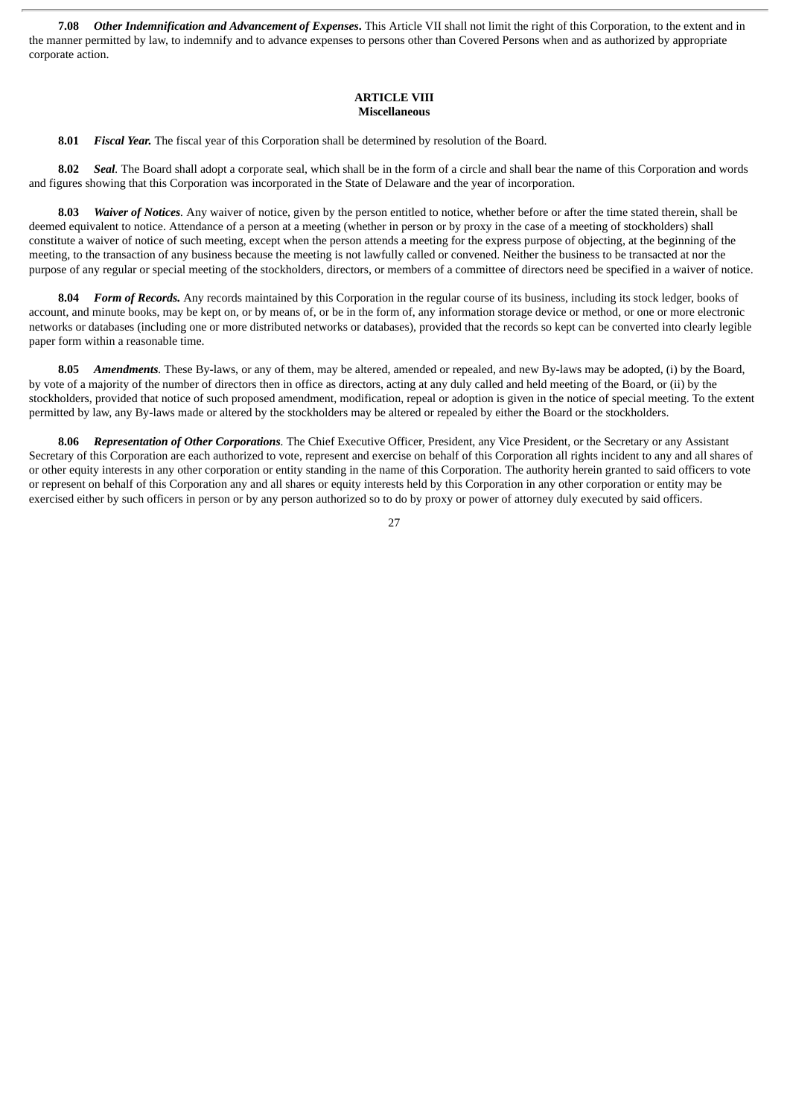**7.08** *Other Indemnification and Advancement of Expenses***.** This Article VII shall not limit the right of this Corporation, to the extent and in the manner permitted by law, to indemnify and to advance expenses to persons other than Covered Persons when and as authorized by appropriate corporate action.

#### **ARTICLE VIII Miscellaneous**

**8.01** *Fiscal Year.* The fiscal year of this Corporation shall be determined by resolution of the Board.

**8.02** *Seal.* The Board shall adopt a corporate seal, which shall be in the form of a circle and shall bear the name of this Corporation and words and figures showing that this Corporation was incorporated in the State of Delaware and the year of incorporation.

**8.03** *Waiver of Notices.* Any waiver of notice, given by the person entitled to notice, whether before or after the time stated therein, shall be deemed equivalent to notice. Attendance of a person at a meeting (whether in person or by proxy in the case of a meeting of stockholders) shall constitute a waiver of notice of such meeting, except when the person attends a meeting for the express purpose of objecting, at the beginning of the meeting, to the transaction of any business because the meeting is not lawfully called or convened. Neither the business to be transacted at nor the purpose of any regular or special meeting of the stockholders, directors, or members of a committee of directors need be specified in a waiver of notice.

**8.04** *Form of Records.* Any records maintained by this Corporation in the regular course of its business, including its stock ledger, books of account, and minute books, may be kept on, or by means of, or be in the form of, any information storage device or method, or one or more electronic networks or databases (including one or more distributed networks or databases), provided that the records so kept can be converted into clearly legible paper form within a reasonable time.

**8.05** *Amendments.* These By-laws, or any of them, may be altered, amended or repealed, and new By-laws may be adopted, (i) by the Board, by vote of a majority of the number of directors then in office as directors, acting at any duly called and held meeting of the Board, or (ii) by the stockholders, provided that notice of such proposed amendment, modification, repeal or adoption is given in the notice of special meeting. To the extent permitted by law, any By-laws made or altered by the stockholders may be altered or repealed by either the Board or the stockholders.

**8.06** *Representation of Other Corporations.* The Chief Executive Officer, President, any Vice President, or the Secretary or any Assistant Secretary of this Corporation are each authorized to vote, represent and exercise on behalf of this Corporation all rights incident to any and all shares of or other equity interests in any other corporation or entity standing in the name of this Corporation. The authority herein granted to said officers to vote or represent on behalf of this Corporation any and all shares or equity interests held by this Corporation in any other corporation or entity may be exercised either by such officers in person or by any person authorized so to do by proxy or power of attorney duly executed by said officers.